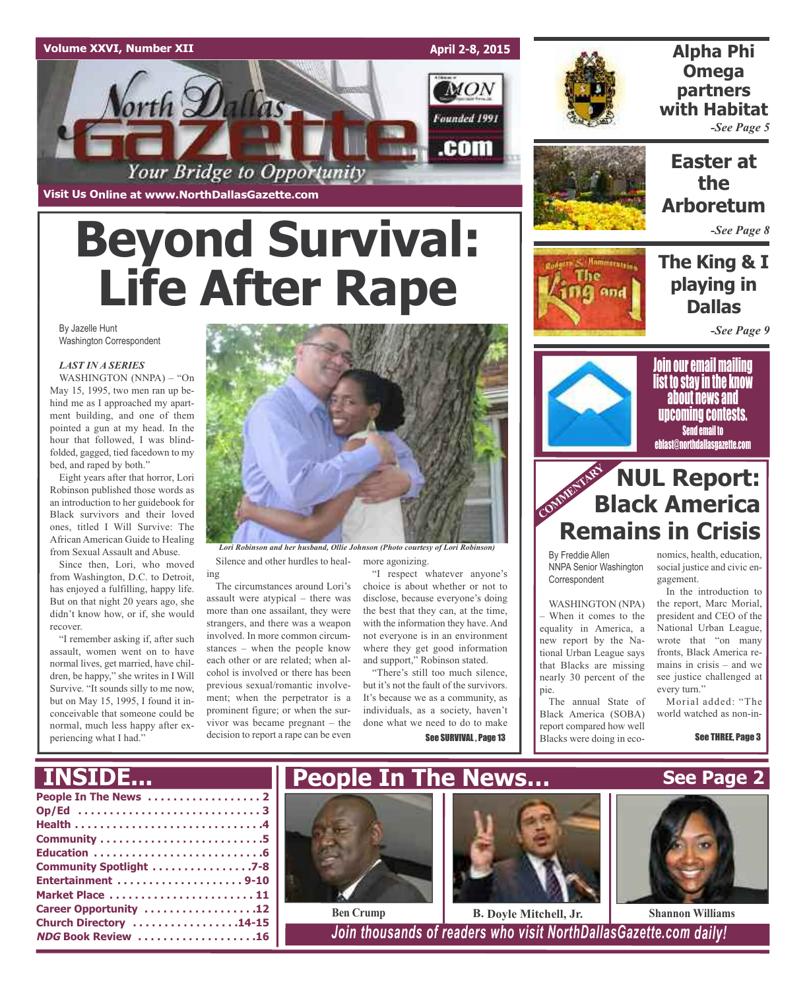#### **Volume XXVI, Number XII**

**April 2-8, 2015**

**MON** 

Founded 1991

.com



### **Alpha Phi Omega partners with Habitat** *-See Page 5*

**Visit Us Online at www.NorthDallasGazette.com**

orth Dallas

# **Beyond Survival: Life After Rape**

Your Bridge to Opportunity

#### By Jazelle Hunt Washington Correspondent

#### *LAST IN A SERIES*

WASHINGTON (NNPA) – "On May 15, 1995, two men ran up behind me as I approached my apartment building, and one of them pointed a gun at my head. In the hour that followed, I was blindfolded, gagged, tied facedown to my bed, and raped by both."

Eight years after that horror, Lori Robinson published those words as an introduction to her guidebook for Black survivors and their loved ones, titled I Will Survive: The African American Guide to Healing from Sexual Assault and Abuse.

Since then, Lori, who moved from Washington, D.C. to Detroit, has enjoyed a fulfilling, happy life. But on that night 20 years ago, she didn't know how, or if, she would recover.

"I remember asking if, after such assault, women went on to have normal lives, get married, have children, be happy," she writes in I Will Survive. "It sounds silly to me now, but on May 15, 1995, I found it inconceivable that someone could be normal, much less happy after experiencing what I had."



Silence and other hurdles to healmore agonizing. *Lori Robinson and her husband, Ollie Johnson (Photo courtesy of Lori Robinson)*

ing The circumstances around Lori's assault were atypical – there was more than one assailant, they were strangers, and there was a weapon involved. In more common circumstances – when the people know each other or are related; when alcohol is involved or there has been previous sexual/romantic involvement; when the perpetrator is a prominent figure; or when the survivor was became pregnant – the decision to report a rape can be even

"I respect whatever anyone's choice is about whether or not to disclose, because everyone's doing the best that they can, at the time, with the information they have. And not everyone is in an environment where they get good information and support," Robinson stated.

"There's still too much silence, but it's not the fault of the survivors. It's because we as a community, as individuals, as a society, haven't done what we need to do to make See SURVIVAL, Page 13

## **Easter at the Arboretum**

*-See Page 8*

## **The King & I playing in Dallas**

*-See Page 9*



Join our email mailing list to stay in the know about news and upcoming contests. Send email to eblast@northdallasgazette.com

## **COMMENTARY RUL Report: Black America Remains in Crisis**

By Freddie Allen NNPA Senior Washington Correspondent

WASHINGTON (NPA) – When it comes to the equality in America, a new report by the National Urban League says that Blacks are missing nearly 30 percent of the

pie. The annual State of Black America (SOBA) report compared how well Blacks were doing in eco-

nomics, health, education, social justice and civic engagement.

In the introduction to the report, Marc Morial, president and CEO of the National Urban League, wrote that "on many fronts, Black America remains in crisis – and we see justice challenged at every turn."

Morial added: "The world watched as non-in-

**See Page 2**

See THREE, Page 3

## **INSIDE...**

| Community Spotlight 7-8 |
|-------------------------|
| Entertainment 9-10      |
| Market Place  11        |
| Career Opportunity 12   |
| Church Directory 14-15  |
| NDG Book Review 16      |
|                         |





 $\frac{1}{6}$  **Book** *Book Book Doin thousands of readers who visit NorthDallasGazette.com daily!*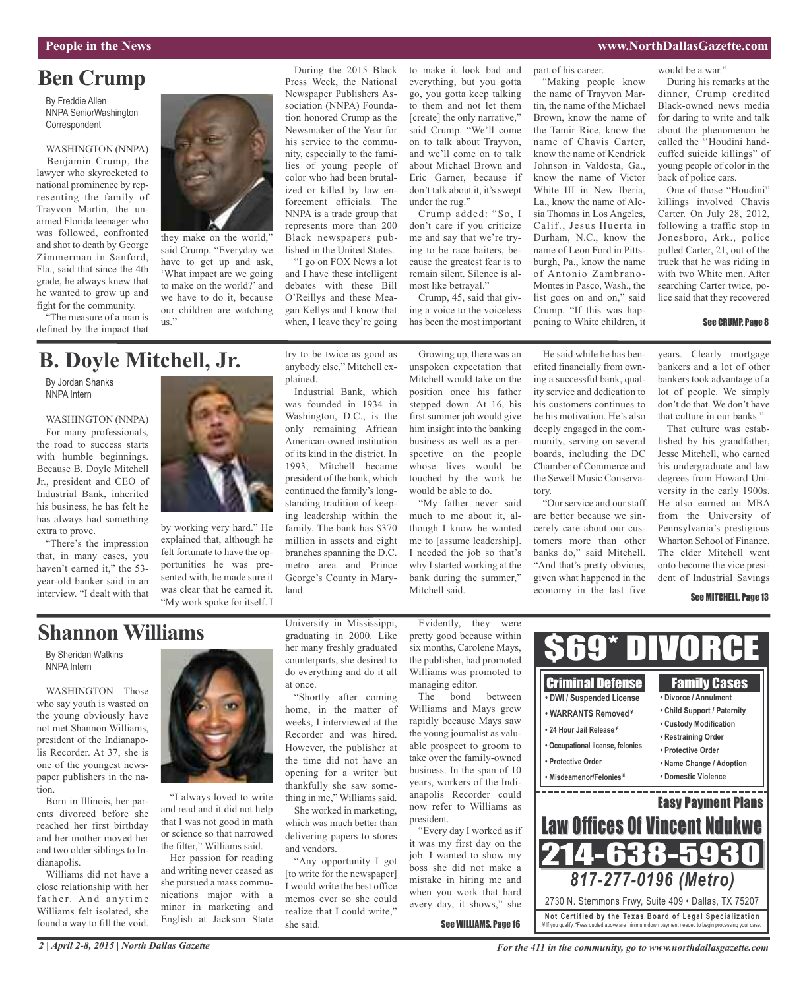## **Ben Crump**

By Freddie Allen NNPA SeniorWashington **Correspondent** 

WASHINGTON (NNPA) – Benjamin Crump, the lawyer who skyrocketed to national prominence by representing the family of Trayvon Martin, the unarmed Florida teenager who was followed, confronted and shot to death by George Zimmerman in Sanford, Fla., said that since the 4th grade, he always knew that he wanted to grow up and fight for the community.

"The measure of a man is defined by the impact that



said Crump. "Everyday we have to get up and ask, 'What impact are we going to make on the world?' and we have to do it, because our children are watching us."

During the 2015 Black Press Week, the National Newspaper Publishers Association (NNPA) Foundation honored Crump as the Newsmaker of the Year for his service to the community, especially to the families of young people of color who had been brutalized or killed by law enforcement officials. The NNPA is a trade group that represents more than 200 Black newspapers published in the United States.

"I go on FOX News a lot and I have these intelligent debates with these Bill O'Reillys and these Meagan Kellys and I know that when, I leave they're going to make it look bad and everything, but you gotta go, you gotta keep talking to them and not let them [create] the only narrative," said Crump. "We'll come on to talk about Trayvon, and we'll come on to talk about Michael Brown and Eric Garner, because if don't talk about it, it's swept under the rug."

Crump added: "So, I don't care if you criticize me and say that we're trying to be race baiters, because the greatest fear is to remain silent. Silence is almost like betrayal."

Crump, 45, said that giving a voice to the voiceless has been the most important

"Making people know the name of Trayvon Martin, the name of the Michael Brown, know the name of the Tamir Rice, know the name of Chavis Carter, know the name of Kendrick Johnson in Valdosta, Ga., know the name of Victor White III in New Iberia, La., know the name of Alesia Thomas in Los Angeles, Calif., Jesus Huerta in Durham, N.C., know the name of Leon Ford in Pittsburgh, Pa., know the name

part of his career.

of Antonio Zambrano-Montes in Pasco, Wash., the list goes on and on," said Crump. "If this was happening to White children, it

would be a war."

During his remarks at the dinner, Crump credited Black-owned news media for daring to write and talk about the phenomenon he called the ''Houdini handcuffed suicide killings" of young people of color in the back of police cars.

One of those "Houdini" killings involved Chavis Carter. On July 28, 2012, following a traffic stop in Jonesboro, Ark., police pulled Carter, 21, out of the truck that he was riding in with two White men. After searching Carter twice, police said that they recovered

#### See CRUMP, Page 8

## **B. Doyle Mitchell, Jr.**

By Jordan Shanks NNPA Intern

#### WASHINGTON (NNPA)

– For many professionals, the road to success starts with humble beginnings. Because B. Doyle Mitchell Jr., president and CEO of Industrial Bank, inherited his business, he has felt he has always had something extra to prove.

"There's the impression that, in many cases, you haven't earned it," the 53year-old banker said in an interview. "I dealt with that



by working very hard." He explained that, although he felt fortunate to have the opportunities he was presented with, he made sure it was clear that he earned it. "My work spoke for itself. I

try to be twice as good as anybody else," Mitchell explained.

Industrial Bank, which was founded in 1934 in Washington, D.C., is the only remaining African American-owned institution of its kind in the district. In 1993, Mitchell became president of the bank, which continued the family's longstanding tradition of keeping leadership within the family. The bank has \$370 million in assets and eight branches spanning the D.C. metro area and Prince George's County in Maryland.

Growing up, there was an unspoken expectation that Mitchell would take on the position once his father stepped down. At 16, his first summer job would give him insight into the banking business as well as a perspective on the people whose lives would be touched by the work he would be able to do.

"My father never said much to me about it, although I know he wanted me to [assume leadership]. I needed the job so that's why I started working at the bank during the summer," Mitchell said.

He said while he has benefited financially from owning a successful bank, quality service and dedication to his customers continues to be his motivation. He's also deeply engaged in the community, serving on several boards, including the DC Chamber of Commerce and the Sewell Music Conservatory.

"Our service and our staff are better because we sincerely care about our customers more than other banks do," said Mitchell. "And that's pretty obvious, given what happened in the economy in the last five

years. Clearly mortgage bankers and a lot of other bankers took advantage of a lot of people. We simply don't do that. We don't have that culture in our banks."

That culture was established by his grandfather, Jesse Mitchell, who earned his undergraduate and law degrees from Howard University in the early 1900s. He also earned an MBA from the University of Pennsylvania's prestigious Wharton School of Finance. The elder Mitchell went onto become the vice president of Industrial Savings

#### See MITCHELL, Page 13

## **Shannon Williams**

By Sheridan Watkins NNPA Intern

WASHINGTON – Those who say youth is wasted on the young obviously have not met Shannon Williams, president of the Indianapolis Recorder. At 37, she is one of the youngest newspaper publishers in the nation.

Born in Illinois, her parents divorced before she reached her first birthday and her mother moved her and two older siblings to Indianapolis.

Williams did not have a close relationship with her father. And anytime Williams felt isolated, she found a way to fill the void.



"I always loved to write and read and it did not help that I was not good in math or science so that narrowed the filter," Williams said.

Her passion for reading and writing never ceased as she pursued a mass communications major with a minor in marketing and English at Jackson State University in Mississippi, graduating in 2000. Like her many freshly graduated counterparts, she desired to do everything and do it all at once.

"Shortly after coming home, in the matter of weeks, I interviewed at the Recorder and was hired. However, the publisher at the time did not have an opening for a writer but thankfully she saw something in me," Williams said.

She worked in marketing, which was much better than delivering papers to stores and vendors.

"Any opportunity I got [to write for the newspaper] I would write the best office memos ever so she could realize that I could write," she said.

Evidently, they were pretty good because within six months, Carolene Mays, the publisher, had promoted Williams was promoted to managing editor.

The bond between Williams and Mays grew rapidly because Mays saw the young journalist as valuable prospect to groom to take over the family-owned business. In the span of 10 years, workers of the Indianapolis Recorder could now refer to Williams as president.

"Every day I worked as if it was my first day on the job. I wanted to show my boss she did not make a mistake in hiring me and when you work that hard every day, it shows," she

See WILLIAMS, Page 16



¥ If you qualify. \*Fees quoted above are minimum down payment needed to begin processing your case.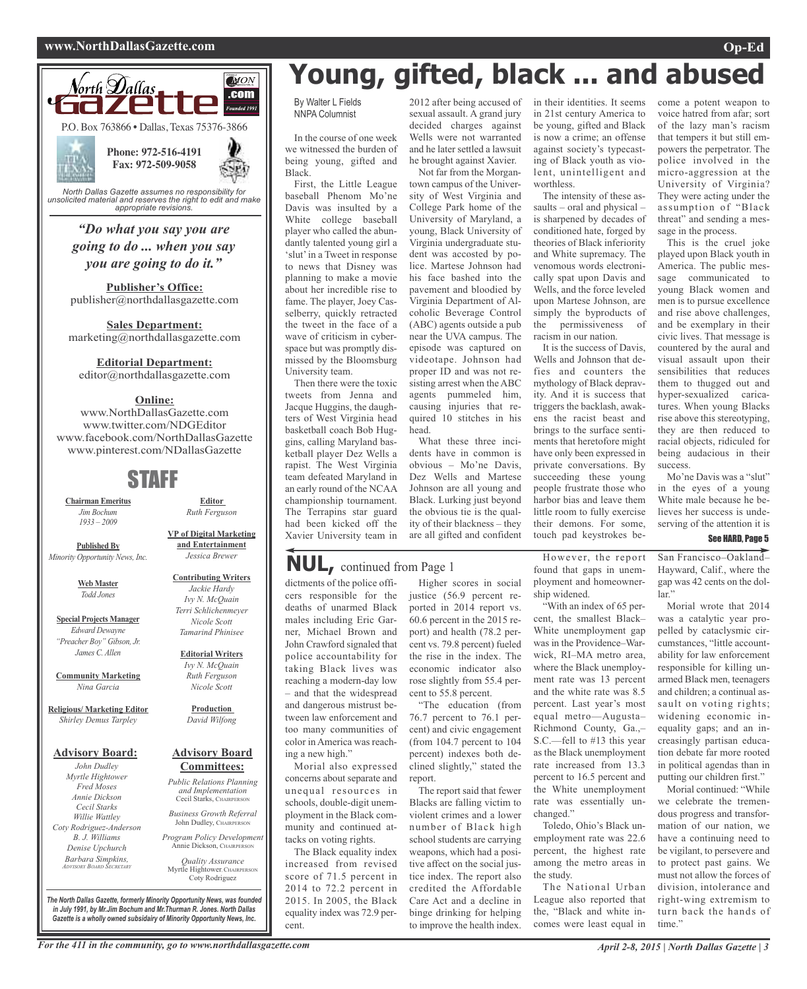#### **www.NorthDallasGazette.com Op-Ed**



*unsolicited material and reserves the right to edit and make appropriate revisions.*

*"Do what you say you are going to do ... when you say you are going to do it."*

**Publisher's Office:** publisher@northdallasgazette.com

**Sales Department:** marketing@northdallasgazette.com

#### **Editorial Department:**

editor@northdallasgazette.com

#### **Online:**

www.NorthDallasGazette.com www.twitter.com/NDGEditor www.facebook.com/NorthDallasGazette www.pinterest.com/NDallasGazette

### STAFF

**Chairman Emeritus** *Jim Bochum 1933 – 2009*

**Published By** *Minority Opportunity News, Inc.*

> **Web Master** *Todd Jones*

**Special Projects Manager** *Edward Dewayne "Preacher Boy" Gibson, Jr. James C. Allen*

**Community Marketing** *Nina Garcia*

**Religious/ Marketing Editor** *Shirley Demus Tarpley*

#### **Advisory Board:**

*John Dudley Myrtle Hightower Fred Moses Annie Dickson Cecil Starks Willie Wattley Coty Rodriguez-Anderson B. J. Williams Denise Upchurch Barbara Simpkins, ADVISORY BOARD SECRETARY*

**Contributing Writers** *Jackie Hardy Ivy N. McQuain Terri Schlichenmeyer*

*Jessica Brewer*

**Editor** *Ruth Ferguson*

#### *Nicole Scott Tamarind Phinisee*

**Editorial Writers** *Ivy N. McQuain Ruth Ferguson Nicole Scott*

**Production** *David Wilfong*

#### **Advisory Board Committees:**

*Public Relations Planning and Implementation* Cecil Starks, CHAIRPERSON *Business Growth Referral*

John Dudley, CHAIRPERSON

*Program Policy Development* Annie Dickson, CHAIRPER

*Quality Assurance* Myrtle Hightower, CHAIRPERSON Coty Rodriguez

*The North Dallas Gazette, formerly Minority Opportunity News, was founded in July 1991, by Mr.Jim Bochum and Mr.Thurman R. Jones. North Dallas Gazette is a wholly owned subsidairy of Minority Opportunity News, Inc.*

## **Young, gifted, black ... and abused**

worthless.

in their identities. It seems in 21st century America to be young, gifted and Black is now a crime; an offense against society's typecasting of Black youth as violent, unintelligent and

The intensity of these assaults – oral and physical – is sharpened by decades of conditioned hate, forged by theories of Black inferiority and White supremacy. The venomous words electronically spat upon Davis and Wells, and the force leveled upon Martese Johnson, are simply the byproducts of the permissiveness of racism in our nation.

It is the success of Davis, Wells and Johnson that defies and counters the mythology of Black depravity. And it is success that triggers the backlash, awakens the racist beast and brings to the surface sentiments that heretofore might have only been expressed in private conversations. By succeeding these young people frustrate those who harbor bias and leave them little room to fully exercise their demons. For some, touch pad keystrokes be-

By Walter L Fields NNPA Columnist

In the course of one week we witnessed the burden of being young, gifted and Black.

First, the Little League baseball Phenom Mo'ne Davis was insulted by a White college baseball player who called the abundantly talented young girl a 'slut'in a Tweet in response to news that Disney was planning to make a movie about her incredible rise to fame. The player, Joey Casselberry, quickly retracted the tweet in the face of a wave of criticism in cyberspace but was promptly dismissed by the Bloomsburg University team.

Then there were the toxic tweets from Jenna and Jacque Huggins, the daughters of West Virginia head basketball coach Bob Huggins, calling Maryland basketball player Dez Wells a rapist. The West Virginia team defeated Maryland in an early round of the NCAA championship tournament. The Terrapins star guard had been kicked off the Xavier University team in

## **NUL,** continued from Page <sup>1</sup>

dictments of the police officers responsible for the deaths of unarmed Black males including Eric Garner, Michael Brown and John Crawford signaled that police accountability for taking Black lives was reaching a modern-day low – and that the widespread and dangerous mistrust between law enforcement and too many communities of color in America was reaching a new high."

Morial also expressed concerns about separate and unequal resources in schools, double-digit unemployment in the Black community and continued attacks on voting rights.

The Black equality index increased from revised score of 71.5 percent in 2014 to 72.2 percent in 2015. In 2005, the Black equality index was 72.9 percent.

2012 after being accused of sexual assault. A grand jury decided charges against Wells were not warranted and he later settled a lawsuit he brought against Xavier. Not far from the Morgan-

town campus of the University of West Virginia and College Park home of the University of Maryland, a young, Black University of Virginia undergraduate student was accosted by police. Martese Johnson had his face bashed into the pavement and bloodied by Virginia Department of Alcoholic Beverage Control (ABC) agents outside a pub near the UVA campus. The episode was captured on videotape. Johnson had proper ID and was not resisting arrest when the ABC agents pummeled him, causing injuries that required 10 stitches in his head.

What these three incidents have in common is obvious – Mo'ne Davis, Dez Wells and Martese Johnson are all young and Black. Lurking just beyond the obvious tie is the quality of their blackness – they are all gifted and confident

Higher scores in social justice (56.9 percent reported in 2014 report vs. 60.6 percent in the 2015 report) and health (78.2 percent vs. 79.8 percent) fueled the rise in the index. The economic indicator also rose slightly from 55.4 percent to 55.8 percent.

"The education (from 76.7 percent to 76.1 percent) and civic engagement (from 104.7 percent to 104 percent) indexes both declined slightly," stated the

The report said that fewer Blacks are falling victim to violent crimes and a lower number of Black high school students are carrying weapons, which had a positive affect on the social justice index. The report also credited the Affordable Care Act and a decline in binge drinking for helping to improve the health index.

report.

#### However, the report found that gaps in unemployment and homeownership widened.

"With an index of 65 percent, the smallest Black– White unemployment gap was in the Providence–Warwick, RI–MA metro area, where the Black unemployment rate was 13 percent and the white rate was 8.5 percent. Last year's most equal metro—Augusta– Richmond County, Ga.,– S.C.—fell to #13 this year as the Black unemployment rate increased from 13.3 percent to 16.5 percent and the White unemployment rate was essentially unchanged."

Toledo, Ohio's Black unemployment rate was 22.6 percent, the highest rate among the metro areas in the study.

The National Urban League also reported that the, "Black and white incomes were least equal in

come a potent weapon to voice hatred from afar; sort of the lazy man's racism that tempers it but still empowers the perpetrator. The police involved in the micro-aggression at the University of Virginia? They were acting under the assumption of "Black threat" and sending a message in the process.

This is the cruel joke played upon Black youth in America. The public message communicated to young Black women and men is to pursue excellence and rise above challenges, and be exemplary in their civic lives. That message is countered by the aural and visual assault upon their sensibilities that reduces them to thugged out and hyper-sexualized caricatures. When young Blacks rise above this stereotyping, they are then reduced to racial objects, ridiculed for being audacious in their success.

Mo'ne Davis was a "slut" in the eyes of a young White male because he believes her success is undeserving of the attention it is

#### See HARD, Page 5

San Francisco–Oakland– Hayward, Calif., where the gap was 42 cents on the dol- $\ln$ "

Morial wrote that 2014 was a catalytic year propelled by cataclysmic circumstances, "little accountability for law enforcement responsible for killing unarmed Black men, teenagers and children; a continual assault on voting rights; widening economic inequality gaps; and an increasingly partisan education debate far more rooted in political agendas than in putting our children first."

Morial continued: "While we celebrate the tremendous progress and transformation of our nation, we have a continuing need to be vigilant, to persevere and to protect past gains. We must not allow the forces of division, intolerance and right-wing extremism to turn back the hands of time."

### **VP of Digital Marketing and Entertainment**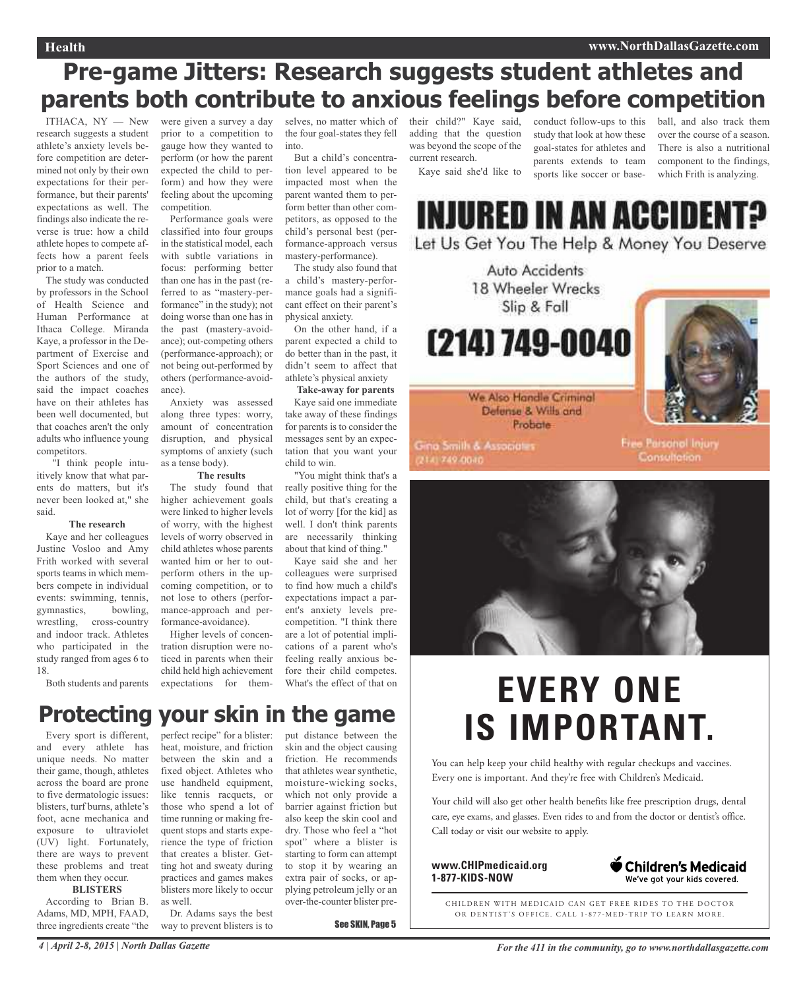## **Pre-game Jitters: Research suggests student athletes and parents both contribute to anxious feelings before competition**

ITHACA, NY — New research suggests a student athlete's anxiety levels before competition are determined not only by their own expectations for their performance, but their parents' expectations as well. The findings also indicate the reverse is true: how a child athlete hopes to compete affects how a parent feels prior to a match.

The study was conducted by professors in the School of Health Science and Human Performance at Ithaca College. Miranda Kaye, a professor in the Department of Exercise and Sport Sciences and one of the authors of the study, said the impact coaches have on their athletes has been well documented, but that coaches aren't the only adults who influence young competitors.

"I think people intuitively know that what parents do matters, but it's never been looked at," she said.

#### **The research**

Kaye and her colleagues Justine Vosloo and Amy Frith worked with several sports teams in which members compete in individual events: swimming, tennis, gymnastics, bowling, wrestling, cross-country and indoor track. Athletes who participated in the study ranged from ages 6 to 18.

Both students and parents

were given a survey a day prior to a competition to gauge how they wanted to perform (or how the parent expected the child to perform) and how they were feeling about the upcoming competition.

Performance goals were classified into four groups in the statistical model, each with subtle variations in focus: performing better than one has in the past (referred to as "mastery-performance" in the study); not doing worse than one has in the past (mastery-avoidance); out-competing others (performance-approach); or not being out-performed by others (performance-avoidance).

Anxiety was assessed along three types: worry, amount of concentration disruption, and physical symptoms of anxiety (such as a tense body).

#### **The results**

The study found that higher achievement goals were linked to higher levels of worry, with the highest levels of worry observed in child athletes whose parents wanted him or her to outperform others in the upcoming competition, or to not lose to others (performance-approach and performance-avoidance).

Higher levels of concentration disruption were noticed in parents when their child held high achievement expectations for them-

selves, no matter which of their child?" Kaye said, the four goal-states they fell into.

But a child's concentration level appeared to be impacted most when the parent wanted them to perform better than other competitors, as opposed to the child's personal best (performance-approach versus mastery-performance).

The study also found that a child's mastery-performance goals had a significant effect on their parent's physical anxiety.

On the other hand, if a parent expected a child to do better than in the past, it didn't seem to affect that athlete's physical anxiety

**Take-away for parents** Kaye said one immediate take away of these findings for parents is to consider the messages sent by an expectation that you want your child to win.

"You might think that's a really positive thing for the child, but that's creating a lot of worry [for the kid] as well. I don't think parents are necessarily thinking about that kind of thing."

Kaye said she and her colleagues were surprised to find how much a child's expectations impact a parent's anxiety levels precompetition. "I think there are a lot of potential implications of a parent who's feeling really anxious before their child competes. What's the effect of that on

## **Protecting your skin in the game**

Every sport is different, and every athlete has unique needs. No matter their game, though, athletes across the board are prone to five dermatologic issues: blisters, turf burns, athlete's foot, acne mechanica and exposure to ultraviolet (UV) light. Fortunately, there are ways to prevent these problems and treat them when they occur.

#### **BLISTERS**

According to Brian B. Adams, MD, MPH, FAAD, three ingredients create "the perfect recipe" for a blister: heat, moisture, and friction between the skin and a fixed object. Athletes who use handheld equipment, like tennis racquets, or those who spend a lot of time running or making frequent stops and starts experience the type of friction that creates a blister. Getting hot and sweaty during practices and games makes blisters more likely to occur as well.

Dr. Adams says the best way to prevent blisters is to put distance between the skin and the object causing friction. He recommends that athletes wear synthetic, moisture-wicking socks, which not only provide a barrier against friction but also keep the skin cool and dry. Those who feel a "hot spot" where a blister is starting to form can attempt to stop it by wearing an extra pair of socks, or applying petroleum jelly or an over-the-counter blister pre-

See SKIN, Page 5

adding that the question was beyond the scope of the current research.

Kaye said she'd like to

conduct follow-ups to this study that look at how these goal-states for athletes and parents extends to team sports like soccer or baseball, and also track them over the course of a season. There is also a nutritional component to the findings, which Frith is analyzing.

# **INJURED IN AN ACCIDENT?**

Let Us Get You The Help & Money You Deserve



2141749-0040

**Consultation** 



## **EVERY ONE IS IMPORTANT.**

You can help keep your child healthy with regular checkups and vaccines. Every one is important. And they're free with Children's Medicaid.

Your child will also get other health benefits like free prescription drugs, dental care, eye exams, and glasses. Even rides to and from the doctor or dentist's office. Call today or visit our website to apply.

**www.CHIPmedicaid.org 1-877-KIDS-NOW**



CHILDREN WITH MEDICAID CAN GET FREE RIDES TO THE DOCTOR OR DENTIST'S OFFICE. CALL 1-877-MED-TRIP TO LEARN MORE.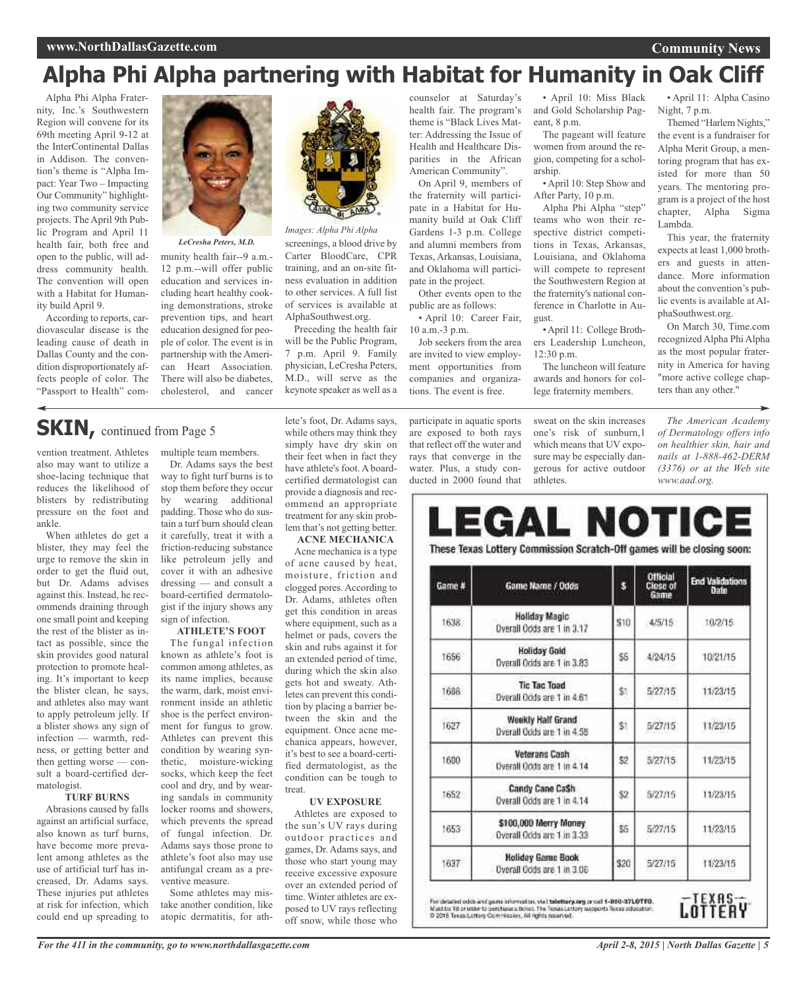## **Alpha Phi Alpha partnering with Habitat for Humanity in Oak Cliff**

Alpha Phi Alpha Fraternity, Inc.'s Southwestern Region will convene for its 69th meeting April 9-12 at the InterContinental Dallas in Addison. The convention's theme is "Alpha Impact: Year Two – Impacting Our Community" highlighting two community service projects. The April 9th Public Program and April 11 health fair, both free and open to the public, will address community health. The convention will open with a Habitat for Humanity build April 9.

According to reports, cardiovascular disease is the leading cause of death in Dallas County and the condition disproportionately affects people of color. The "Passport to Health" com-



*LeCresha Peters, M.D.*

munity health fair--9 a.m.- 12 p.m.--will offer public education and services including heart healthy cooking demonstrations, stroke prevention tips, and heart education designed for people of color. The event is in partnership with the American Heart Association. There will also be diabetes, cholesterol, and cancer



screenings, a blood drive by Carter BloodCare, CPR training, and an on-site fitness evaluation in addition to other services. A full list of services is available at AlphaSouthwest.org. *Images: Alpha Phi Alpha*

Preceding the health fair will be the Public Program, 7 p.m. April 9. Family physician, LeCresha Peters, M.D., will serve as the keynote speaker as well as a counselor at Saturday's health fair. The program's theme is "Black Lives Matter: Addressing the Issue of Health and Healthcare Disparities in the African American Community".

On April 9, members of the fraternity will participate in a Habitat for Humanity build at Oak Cliff Gardens 1-3 p.m. College and alumni members from Texas, Arkansas, Louisiana, and Oklahoma will participate in the project.

Other events open to the public are as follows:

• April 10: Career Fair, 10 a.m.-3 p.m. Job seekers from the area are invited to view employment opportunities from

companies and organizations. The event is free.

participate in aquatic sports are exposed to both rays that reflect off the water and rays that converge in the water. Plus, a study conducted in 2000 found that

• April 10: Miss Black and Gold Scholarship Pageant, 8 p.m.

The pageant will feature women from around the region, competing for a scholarship.

• April 10: Step Show and After Party, 10 p.m.

Alpha Phi Alpha "step" teams who won their respective district competitions in Texas, Arkansas, Louisiana, and Oklahoma will compete to represent the Southwestern Region at the fraternity's national conference in Charlotte in August.

•April 11: College Brothers Leadership Luncheon,  $12:30 \text{ p.m.}$ 

The luncheon will feature awards and honors for college fraternity members.

sweat on the skin increases one's risk of sunburn,1 which means that UV exposure may be especially dangerous for active outdoor athletes.

• April 11: Alpha Casino Night, 7 p.m.

Themed "Harlem Nights," the event is a fundraiser for Alpha Merit Group, a mentoring program that has existed for more than 50 years. The mentoring program is a project of the host chapter, Alpha Sigma Lambda.

This year, the fraternity expects at least 1,000 brothers and guests in attendance. More information about the convention's public events is available at AlphaSouthwest.org.

On March 30, Time.com recognized Alpha Phi Alpha as the most popular fraternity in America for having "more active college chapters than any other."

*The American Academy of Dermatology offers info on healthier skin, hair and nails at 1-888-462-DERM (3376) or at the Web site www.aad.org.*

## **SKIN**, continued from Page 5

vention treatment. Athletes also may want to utilize a shoe-lacing technique that reduces the likelihood of blisters by redistributing pressure on the foot and ankle.

When athletes do get a blister, they may feel the urge to remove the skin in order to get the fluid out, but Dr. Adams advises against this. Instead, he recommends draining through one small point and keeping the rest of the blister as intact as possible, since the skin provides good natural protection to promote healing. It's important to keep the blister clean, he says, and athletes also may want to apply petroleum jelly. If a blister shows any sign of infection — warmth, redness, or getting better and then getting worse — consult a board-certified dermatologist.

#### **TURF BURNS**

Abrasions caused by falls against an artificial surface, also known as turf burns, have become more prevalent among athletes as the use of artificial turf has increased, Dr. Adams says. These injuries put athletes at risk for infection, which could end up spreading to

multiple team members.

Dr. Adams says the best way to fight turf burns is to stop them before they occur by wearing additional padding. Those who do sustain a turf burn should clean it carefully, treat it with a friction-reducing substance like petroleum jelly and cover it with an adhesive dressing — and consult a board-certified dermatologist if the injury shows any sign of infection.

#### **ATHLETE'S FOOT**

The fungal infection known as athlete's foot is common among athletes, as its name implies, because the warm, dark, moist environment inside an athletic shoe is the perfect environment for fungus to grow. Athletes can prevent this condition by wearing synthetic, moisture-wicking socks, which keep the feet cool and dry, and by wearing sandals in community locker rooms and showers, which prevents the spread of fungal infection. Dr. Adams says those prone to athlete's foot also may use antifungal cream as a preventive measure.

Some athletes may mistake another condition, like atopic dermatitis, for athlete's foot, Dr. Adams says, while others may think they simply have dry skin on their feet when in fact they have athlete's foot. A boardcertified dermatologist can provide a diagnosis and recommend an appropriate treatment for any skin problem that's not getting better.

**ACNE MECHANICA** Acne mechanica is a type of acne caused by heat, moisture, friction and clogged pores. According to Dr. Adams, athletes often get this condition in areas where equipment, such as a helmet or pads, covers the skin and rubs against it for an extended period of time, during which the skin also gets hot and sweaty. Athletes can prevent this condition by placing a barrier between the skin and the equipment. Once acne mechanica appears, however, it's best to see a board-certified dermatologist, as the condition can be tough to treat.

#### **UV EXPOSURE**

Athletes are exposed to the sun's UV rays during outdoor practices and games, Dr. Adams says, and those who start young may receive excessive exposure over an extended period of time. Winter athletes are exposed to UV rays reflecting off snow, while those who

LEGAL NOTICE These Texas Lottery Commission Scratch-Off games will be closing soon: Official<br>Close of<br>Game **End Validations** š. Game # Game Name / Odds Dafe **Holiday Magic** \$10 1638 4/5/15 10/2/15 Overall Odds are 1 in 3.17 **Holiday Gold** 1656 \$5 4/24/15 10/21/15 Overall Ocids are 1 in 3.83 **Tic Tac Toad** 1688 \$1 5/27/15 11/23/15 Overall Odds are 1 in 4.61 Weekly Half Grand 1627 \$1  $5/27/15$ 11/23/15 Overall Odds are 1 in 4.5B Veterans Cash 1600 \$2 5/27/15 11/23/15 Overall Ocds are 1 in 4.14 Candy Cane CaSh 1652 \$2 5/27/15 11/23/15 Overall Odds are 1 in 4.14 \$100,000 Merry Money 1653 \$5  $5/27/15$ 11/23/15 Overall Odds are 1 in 3.33 **Holiday Game Book** \$20  $5/27/15$ 1637 11/23/15 Overall Gods are 1 in 3.06

For detailed odds and game information, what talastery, org or call 1-800-371.0TTO.<br>Mast he 78 or other to partitiose a boset. The Texas Lettery supports forces education.<br>© 2015 Texas Lottery Commission, All rights reserv

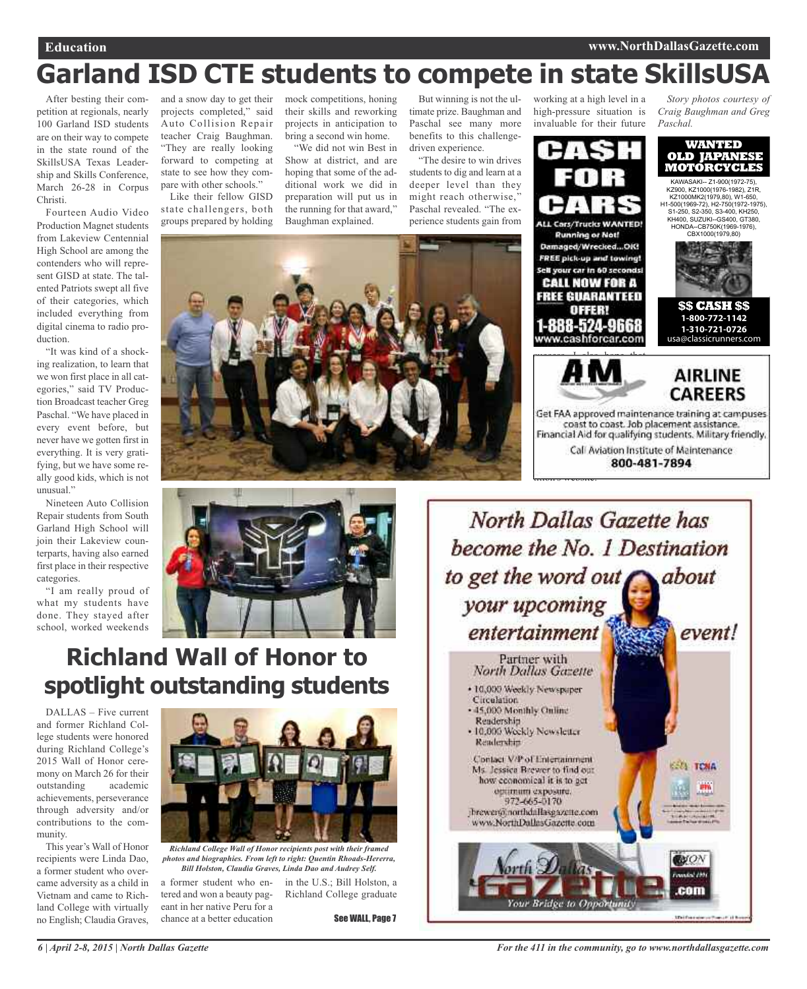## **Garland ISD CTE students to compete in state SkillsUSA**

After besting their competition at regionals, nearly 100 Garland ISD students are on their way to compete in the state round of the SkillsUSA Texas Leadership and Skills Conference, March 26-28 in Corpus Christi.

Fourteen Audio Video Production Magnet students from Lakeview Centennial High School are among the contenders who will represent GISD at state. The talented Patriots swept all five of their categories, which included everything from digital cinema to radio production.

"It was kind of a shocking realization, to learn that we won first place in all categories," said TV Production Broadcast teacher Greg Paschal. "We have placed in every event before, but never have we gotten first in everything. It is very gratifying, but we have some really good kids, which is not unusual."

Nineteen Auto Collision Repair students from South Garland High School will join their Lakeview counterparts, having also earned first place in their respective categories.

"I am really proud of what my students have done. They stayed after school, worked weekends

and a snow day to get their projects completed," said Auto Collision Repair teacher Craig Baughman. "They are really looking forward to competing at state to see how they compare with other schools."

Like their fellow GISD state challengers, both groups prepared by holding

mock competitions, honing their skills and reworking projects in anticipation to bring a second win home.

"We did not win Best in Show at district, and are hoping that some of the additional work we did in preparation will put us in the running for that award," Baughman explained.

But winning is not the ultimate prize. Baughman and Paschal see many more benefits to this challengedriven experience.

"The desire to win drives students to dig and learn at a deeper level than they might reach otherwise,' Paschal revealed. "The experience students gain from





## **Richland Wall of Honor to spotlight outstanding students**

DALLAS – Five current and former Richland College students were honored during Richland College's 2015 Wall of Honor ceremony on March 26 for their outstanding academic achievements, perseverance through adversity and/or contributions to the community.

This year's Wall of Honor recipients were Linda Dao, a former student who overcame adversity as a child in Vietnam and came to Richland College with virtually no English; Claudia Graves,



*Richland College Wall of Honor recipients post with their framed photos and biographies. From left to right: Quentin Rhoads-Hererra, Bill Holston, Claudia Graves, Linda Dao and Audrey Self.*

a former student who entered and won a beauty pageant in her native Peru for a chance at a better education

in the U.S.; Bill Holston, a Richland College graduate

See WALL, Page 7



t<del>ition's website.</del>

*Story photos courtesy of Craig Baughman and Greg Paschal.*





working at a high level in a high-pressure situation is invaluable for their future

 $\overline{1}$ 

**Running or Not!** 

offen

**AIRLINE CAREERS** 

oet haa approved mainte financial Aid for a stifting through teamwork." Call Aviation Institute of Maintenance

800-481-7894

*For the 411 in the community, go to www.northdallasgazette.com*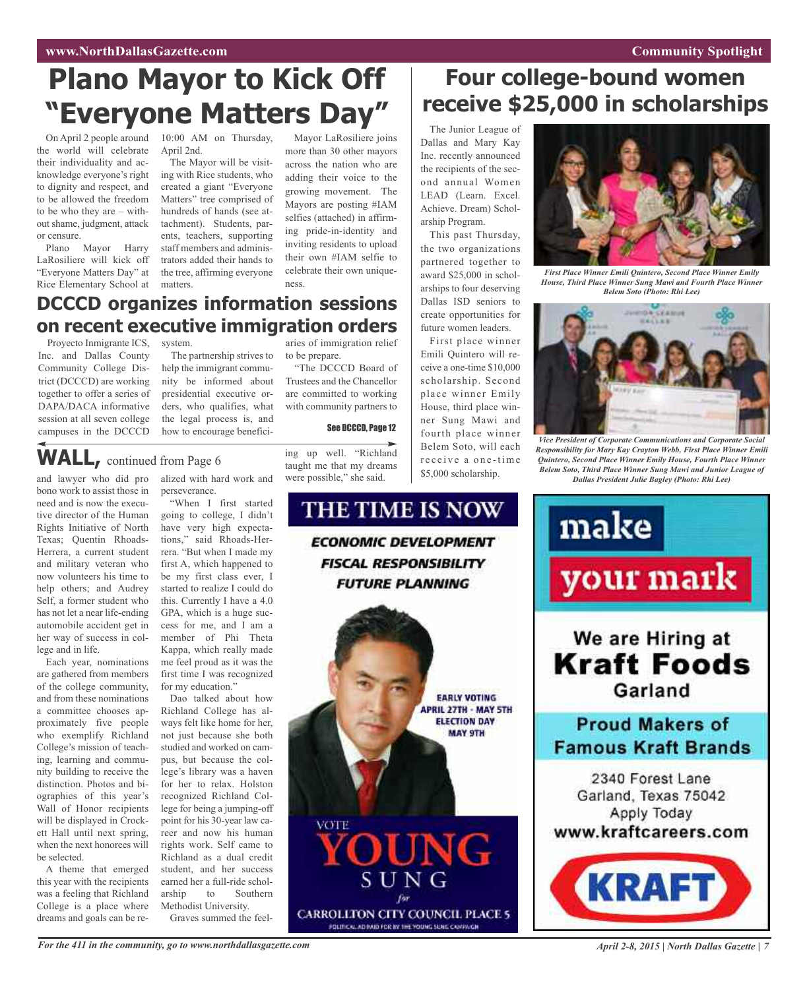## **Plano Mayor to Kick Off "Everyone Matters Day"**

the world will celebrate their individuality and acknowledge everyone's right to dignity and respect, and to be allowed the freedom to be who they are – without shame, judgment, attack or censure.

Plano Mayor Harry LaRosiliere will kick off "Everyone Matters Day" at Rice Elementary School at

On April 2 people around 10:00 AM on Thursday, April 2nd.

The Mayor will be visiting with Rice students, who created a giant "Everyone Matters" tree comprised of hundreds of hands (see attachment). Students, parents, teachers, supporting staff members and administrators added their hands to the tree, affirming everyone matters.

Mayor LaRosiliere joins more than 30 other mayors across the nation who are adding their voice to the growing movement. The Mayors are posting #IAM selfies (attached) in affirming pride-in-identity and inviting residents to upload their own #IAM selfie to celebrate their own uniqueness.

### **DCCCD organizes information sessions on recent executive immigration orders**

Proyecto Inmigrante ICS, system. Inc. and Dallas County Community College District (DCCCD) are working together to offer a series of DAPA/DACA informative session at all seven college

campuses in the DCCCD

The partnership strives to help the immigrant community be informed about presidential executive orders, who qualifies, what the legal process is, and how to encourage beneficiaries of immigration relief to be prepare.

"The DCCCD Board of Trustees and the Chancellor are committed to working with community partners to

See DCCCD, Page 12

## **WALL,** continued from Page <sup>6</sup>

and lawyer who did pro bono work to assist those in need and is now the executive director of the Human Rights Initiative of North Texas; Quentin Rhoads-Herrera, a current student and military veteran who now volunteers his time to help others; and Audrey Self, a former student who has not let a near life-ending automobile accident get in her way of success in college and in life.

Each year, nominations are gathered from members of the college community, and from these nominations a committee chooses approximately five people who exemplify Richland College's mission of teaching, learning and community building to receive the distinction. Photos and biographies of this year's Wall of Honor recipients will be displayed in Crockett Hall until next spring, when the next honorees will be selected.

A theme that emerged this year with the recipients was a feeling that Richland College is a place where dreams and goals can be realized with hard work and perseverance. "When I first started

going to college, I didn't have very high expectations," said Rhoads-Herrera. "But when I made my first A, which happened to be my first class ever, I started to realize I could do this. Currently I have a 4.0 GPA, which is a huge success for me, and I am a member of Phi Theta Kappa, which really made me feel proud as it was the first time I was recognized for my education."

Dao talked about how Richland College has always felt like home for her. not just because she both studied and worked on campus, but because the college's library was a haven for her to relax. Holston recognized Richland College for being a jumping-off point for his 30-year law career and now his human rights work. Self came to Richland as a dual credit student, and her success earned her a full-ride scholarship to Southern Methodist University. Graves summed the feel-

ing up well. "Richland taught me that my dreams were possible," she said.

VOTE

## THE TIME IS NOW **ECONOMIC DEVELOPMENT FISCAL RESPONSIBILITY FUTURE PLANNING**

YOUNG

SUNG

OLTICAL AD IMID FOR IN THE YOUNG SUNG CAMPAIGN



Dallas and Mary Kay Inc. recently announced the recipients of the second annual Women LEAD (Learn. Excel. Achieve. Dream) Scholarship Program.

This past Thursday, the two organizations partnered together to award \$25,000 in scholarships to four deserving Dallas ISD seniors to create opportunities for future women leaders.

First place winner Emili Quintero will receive a one-time \$10,000 scholarship. Second place winner Emily House, third place winner Sung Mawi and fourth place winner Belem Soto, will each receive a one-time \$5,000 scholarship.

**FARIY VOTING** 

**ELECTION DAY** 

**MAY 9TH** 



*First Place Winner Emili Quintero, Second Place Winner Emily House, Third Place Winner Sung Mawi and Fourth Place Winner Belem Soto (Photo: Rhi Lee)*



*Vice President of Corporate Communications and Corporate Social Responsibility for Mary Kay Crayton Webb, First Place Winner Emili Quintero, Second Place Winner Emily House, Fourth Place Winner Belem Soto, Third Place Winner Sung Mawi and Junior League of Dallas President Julie Bagley (Photo: Rhi Lee)*

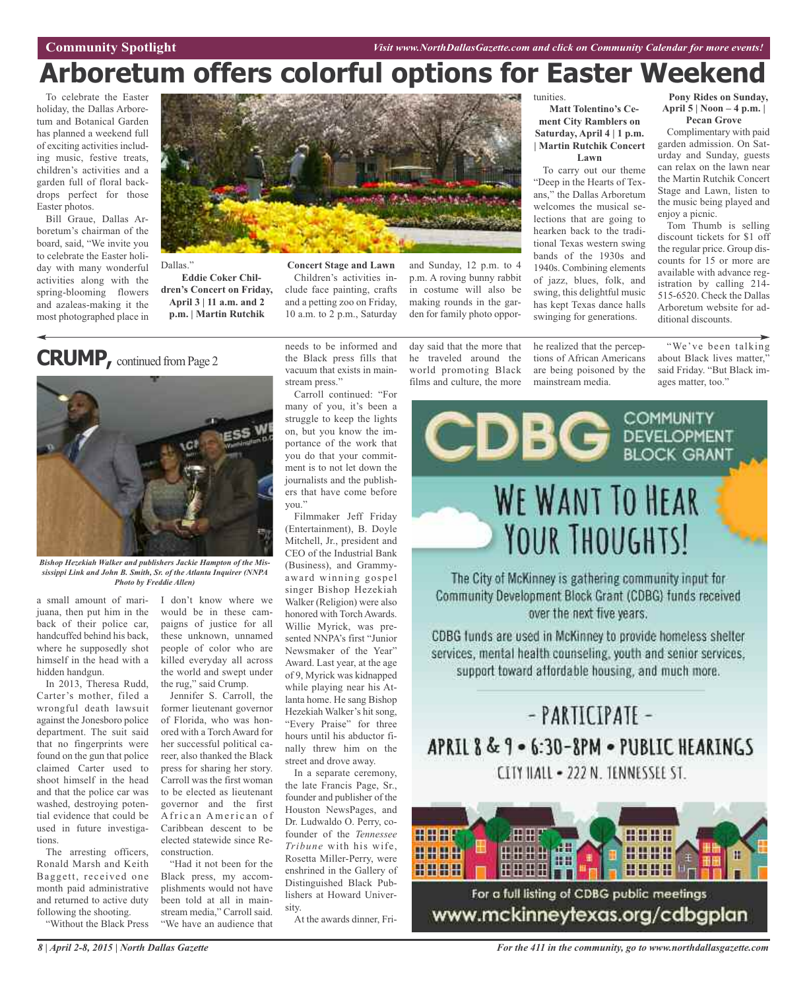## **Arboretum offers colorful options for Easter Weekend**

To celebrate the Easter holiday, the Dallas Arboretum and Botanical Garden has planned a weekend full of exciting activities including music, festive treats, children's activities and a garden full of floral backdrops perfect for those Easter photos.

Bill Graue, Dallas Arboretum's chairman of the board, said, "We invite you to celebrate the Easter holiday with many wonderful activities along with the spring-blooming flowers and azaleas-making it the most photographed place in



Dallas."

**Eddie Coker Children's Concert on Friday, April 3 | 11 a.m. and 2 p.m. | Martin Rutchik**

**Concert Stage and Lawn** Children's activities include face painting, crafts and a petting zoo on Friday, 10 a.m. to 2 p.m., Saturday

and Sunday, 12 p.m. to 4 p.m. A roving bunny rabbit in costume will also be making rounds in the garden for family photo oppor-

day said that the more that he traveled around the world promoting Black films and culture, the more

tunities.

#### **Matt Tolentino's Cement City Ramblers on Saturday, April 4 | 1 p.m. | Martin Rutchik Concert Lawn**

To carry out our theme "Deep in the Hearts of Texans," the Dallas Arboretum welcomes the musical selections that are going to hearken back to the traditional Texas western swing bands of the 1930s and 1940s. Combining elements of jazz, blues, folk, and swing, this delightful music has kept Texas dance halls swinging for generations.

he realized that the perceptions of African Americans are being poisoned by the mainstream media.

**Pony Rides on Sunday, April 5 | Noon – 4 p.m. | Pecan Grove**

Complimentary with paid garden admission. On Saturday and Sunday, guests can relax on the lawn near the Martin Rutchik Concert Stage and Lawn, listen to the music being played and enjoy a picnic.

Tom Thumb is selling discount tickets for \$1 off the regular price. Group discounts for 15 or more are available with advance registration by calling 214- 515-6520. Check the Dallas Arboretum website for additional discounts.

"We've been talking about Black lives matter," said Friday. "But Black im-

ages matter, too."

## **CRUMP,** continued fromPage <sup>2</sup>



*Bishop Hezekiah Walker and publishers Jackie Hampton of the Mississippi Link and John B. Smith, Sr. of the Atlanta Inquirer (NNPA Photo by Freddie Allen)*

a small amount of marijuana, then put him in the back of their police car, handcuffed behind his back, where he supposedly shot himself in the head with a hidden handgun.

In 2013, Theresa Rudd, Carter's mother, filed a wrongful death lawsuit against the Jonesboro police department. The suit said that no fingerprints were found on the gun that police claimed Carter used to shoot himself in the head and that the police car was washed, destroying potential evidence that could be used in future investigations.

The arresting officers, Ronald Marsh and Keith Baggett, received one month paid administrative and returned to active duty following the shooting.

"Without the Black Press

I don't know where we would be in these campaigns of justice for all these unknown, unnamed people of color who are killed everyday all across the world and swept under the rug," said Crump.

Jennifer S. Carroll, the former lieutenant governor of Florida, who was honored with a Torch Award for her successful political career, also thanked the Black press for sharing her story. Carroll was the first woman to be elected as lieutenant governor and the first A frican American of Caribbean descent to be elected statewide since Reconstruction.

"Had it not been for the Black press, my accomplishments would not have been told at all in mainstream media," Carroll said. "We have an audience that

needs to be informed and the Black press fills that vacuum that exists in mainstream press."

Carroll continued: "For many of you, it's been a struggle to keep the lights on, but you know the importance of the work that you do that your commitment is to not let down the journalists and the publishers that have come before you."

Filmmaker Jeff Friday (Entertainment), B. Doyle Mitchell, Jr., president and CEO of the Industrial Bank (Business), and Grammyaward winning gospel singer Bishop Hezekiah Walker (Religion) were also honored with Torch Awards. Willie Myrick, was presented NNPA's first "Junior Newsmaker of the Year" Award. Last year, at the age of 9, Myrick was kidnapped while playing near his Atlanta home. He sang Bishop Hezekiah Walker's hit song, "Every Praise" for three hours until his abductor finally threw him on the street and drove away.

In a separate ceremony, the late Francis Page, Sr., founder and publisher of the Houston NewsPages, and Dr. Ludwaldo O. Perry, cofounder of the *Tennessee Tribune* with his wife, Rosetta Miller-Perry, were enshrined in the Gallery of Distinguished Black Publishers at Howard University.

At the awards dinner, Fri-



The City of McKinney is gathering community input for Community Development Block Grant (CDBG) funds received over the next five years.

CDBG funds are used in McKinney to provide homeless shelter services, mental health counseling, youth and senior services. support toward affordable housing, and much more.

## - PARTICIPATE -APRIL 8 & 9 - 6:30-8PM - PUBLIC HEARINGS CLTY HALL - 222 N. TENNESSEE ST.

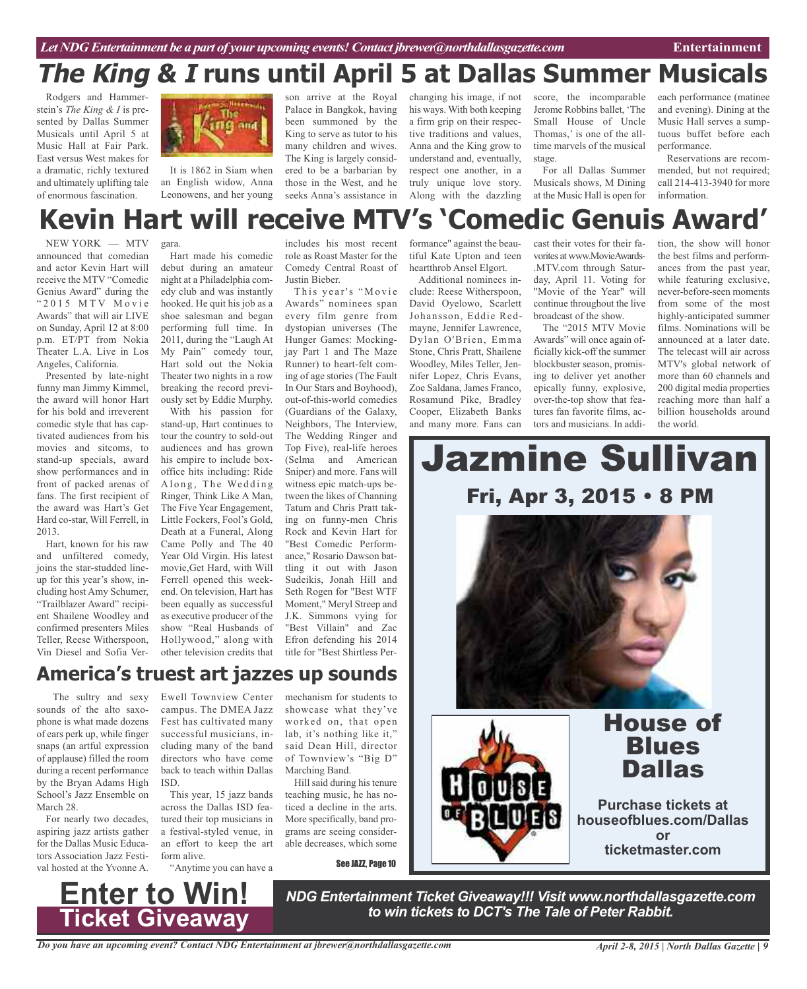Rodgers and Hammerstein's *The King & I* is presented by Dallas Summer Musicals until April 5 at Music Hall at Fair Park. East versus West makes for a dramatic, richly textured and ultimately uplifting tale of enormous fascination.



It is 1862 in Siam when an English widow, Anna Leonowens, and her young

son arrive at the Royal Palace in Bangkok, having been summoned by the King to serve as tutor to his many children and wives. The King is largely considered to be a barbarian by those in the West, and he seeks Anna's assistance in

changing his image, if not his ways. With both keeping a firm grip on their respective traditions and values, Anna and the King grow to understand and, eventually, respect one another, in a truly unique love story. Along with the dazzling

score, the incomparable Jerome Robbins ballet, 'The Small House of Uncle Thomas,' is one of the alltime marvels of the musical stage.

For all Dallas Summer Musicals shows, M Dining at the Music Hall is open for each performance (matinee and evening). Dining at the Music Hall serves a sumptuous buffet before each performance.

Reservations are recommended, but not required; call 214-413-3940 for more information.

## **Kevin Hart will receive MTV's 'Comedic Genuis Award'**

NEW YORK — MTV announced that comedian and actor Kevin Hart will receive the MTV "Comedic Genius Award" during the "2015 MTV Movie Awards" that will air LIVE on Sunday, April 12 at 8:00 p.m. ET/PT from Nokia Theater L.A. Live in Los Angeles, California.

Presented by late-night funny man Jimmy Kimmel, the award will honor Hart for his bold and irreverent comedic style that has captivated audiences from his movies and sitcoms, to stand-up specials, award show performances and in front of packed arenas of fans. The first recipient of the award was Hart's Get Hard co-star, Will Ferrell, in 2013.

Hart, known for his raw and unfiltered comedy, joins the star-studded lineup for this year's show, including host Amy Schumer, "Trailblazer Award" recipient Shailene Woodley and confirmed presenters Miles Teller, Reese Witherspoon, Vin Diesel and Sofia Ver-

gara.

Hart made his comedic debut during an amateur night at a Philadelphia comedy club and was instantly hooked. He quit his job as a shoe salesman and began performing full time. In 2011, during the "Laugh At My Pain" comedy tour, Hart sold out the Nokia Theater two nights in a row breaking the record previously set by Eddie Murphy.

With his passion for stand-up, Hart continues to tour the country to sold-out audiences and has grown his empire to include boxoffice hits including: Ride Along, The Wedding Ringer, Think Like A Man, The Five Year Engagement, Little Fockers, Fool's Gold, Death at a Funeral, Along Came Polly and The 40 Year Old Virgin. His latest movie,Get Hard, with Will Ferrell opened this weekend. On television, Hart has been equally as successful as executive producer of the show "Real Husbands of Hollywood," along with other television credits that

includes his most recent role as Roast Master for the Comedy Central Roast of Justin Bieber.

This year's "Movie Awards" nominees span every film genre from dystopian universes (The Hunger Games: Mockingjay Part 1 and The Maze Runner) to heart-felt coming of age stories (The Fault In Our Stars and Boyhood), out-of-this-world comedies (Guardians of the Galaxy, Neighbors, The Interview, The Wedding Ringer and Top Five), real-life heroes (Selma and American Sniper) and more. Fans will witness epic match-ups between the likes of Channing Tatum and Chris Pratt taking on funny-men Chris Rock and Kevin Hart for "Best Comedic Performance," Rosario Dawson battling it out with Jason Sudeikis, Jonah Hill and Seth Rogen for "Best WTF Moment," Meryl Streep and J.K. Simmons vying for "Best Villain" and Zac Efron defending his 2014 title for "Best Shirtless Per-

formance" against the beautiful Kate Upton and teen heartthrob Ansel Elgort.

Additional nominees include: Reese Witherspoon, David Oyelowo, Scarlett Johansson, Eddie Redmayne, Jennifer Lawrence, Dylan O'Brien, Emma Stone, Chris Pratt, Shailene Woodley, Miles Teller, Jennifer Lopez, Chris Evans, Zoe Saldana, James Franco, Rosamund Pike, Bradley Cooper, Elizabeth Banks and many more. Fans can

cast their votes for their favorites at www.MovieAwards- .MTV.com through Saturday, April 11. Voting for "Movie of the Year" will continue throughout the live broadcast of the show.

The "2015 MTV Movie Awards" will once again officially kick-off the summer blockbuster season, promising to deliver yet another epically funny, explosive, over-the-top show that features fan favorite films, actors and musicians. In addi-

tion, the show will honor the best films and performances from the past year, while featuring exclusive, never-before-seen moments from some of the most highly-anticipated summer films. Nominations will be announced at a later date. The telecast will air across MTV's global network of more than 60 channels and 200 digital media properties reaching more than half a billion households around the world.

# Jazmine Sullivan Fri, Apr 3, 2015 • 8 PM



# Dallas

#### **Purchase tickets at houseofblues.com/Dallas or ticketmaster.com**

The sultry and sexy sounds of the alto saxophone is what made dozens of ears perk up, while finger snaps (an artful expression of applause) filled the room during a recent performance by the Bryan Adams High School's Jazz Ensemble on March 28.

For nearly two decades, aspiring jazz artists gather for the Dallas Music Educators Association Jazz Festival hosted at the Yvonne A.

Ewell Townview Center campus. The DMEA Jazz Fest has cultivated many successful musicians, including many of the band directors who have come back to teach within Dallas ISD.

**America's truest art jazzes up sounds**

This year, 15 jazz bands across the Dallas ISD featured their top musicians in a festival-styled venue, in an effort to keep the art form alive.

"Anytime you can have a

**Ticket Giveaway**

showcase what they've worked on, that open lab, it's nothing like it," said Dean Hill, director of Townview's "Big D" Marching Band.

mechanism for students to

Hill said during his tenure teaching music, he has noticed a decline in the arts. More specifically, band programs are seeing considerable decreases, which some

See JAZZ, Page 10

*NDG Entertainment Ticket Giveaway!!! Visit www.northdallasgazette.com* **to** *Win!* NDG Entertainment Ticket Giveaway!!! Visit www.northdallas<br>Ticket Giveaway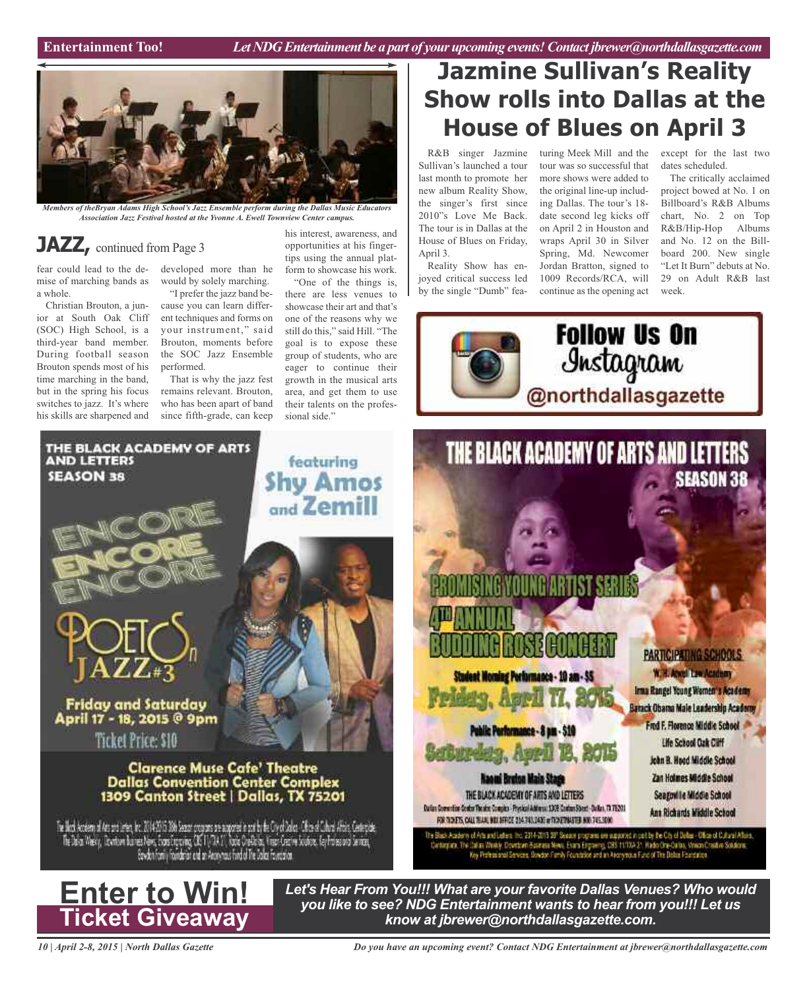

*Members of theBryan Adams High School's Jazz Ensemble perform during the Dallas Music Educators Association Jazz Festival hosted at the Yvonne A. Ewell Townview Center campus.*

### **JAZZ**, continued from Page 3

THE BLACK ACADEMY OF ARTS

fear could lead to the demise of marching bands as a whole.

Christian Brouton, a junior at South Oak Cliff (SOC) High School, is a third-year band member. During football season Brouton spends most of his time marching in the band, but in the spring his focus switches to jazz. It's where his skills are sharpened and

**AND LETTERS** 

**SEASON 38** 

developed more than he would by solely marching.

"I prefer the jazz band because you can learn different techniques and forms on your instrument," said Brouton, moments before the SOC Jazz Ensemble performed.

That is why the jazz fest remains relevant. Brouton, who has been apart of band since fifth-grade, can keep

his interest, awareness, and opportunities at his fingertips using the annual platform to showcase his work.

"One of the things is, there are less venues to showcase their art and that's one of the reasons why we still do this," said Hill. "The goal is to expose these group of students, who are eager to continue their growth in the musical arts area, and get them to use their talents on the professional side."

featuring

**Shy Amos** 

and Zemill

## **Jazmine Sullivan's Reality Show rolls into Dallas at the House of Blues on April 3**

Sullivan's launched a tour last month to promote her new album Reality Show, the singer's first since 2010"s Love Me Back. The tour is in Dallas at the House of Blues on Friday, April 3.

Reality Show has enjoyed critical success led by the single "Dumb" featour was so successful that more shows were added to the original line-up including Dallas. The tour's 18 date second leg kicks off on April 2 in Houston and wraps April 30 in Silver Spring, Md. Newcomer Jordan Bratton, signed to 1009 Records/RCA, will continue as the opening act

R&B singer Jazmine turing Meek Mill and the except for the last two dates scheduled.

The critically acclaimed project bowed at No. 1 on Billboard's R&B Albums chart, No. 2 on Top R&B/Hip-Hop Albums and No. 12 on the Billboard 200. New single "Let It Burn" debuts at No. 29 on Adult R&B last week.





*Let's Hear From You!!! What are your favorite Dallas Venues? Who would you like to see? NDG Entertainment wants to hear from you!!! Let us know at jbrewer@northdallasgazette.com.*

*Do you have an upcoming event? Contact NDG Entertainment at jbrewer@northdallasgazette.com*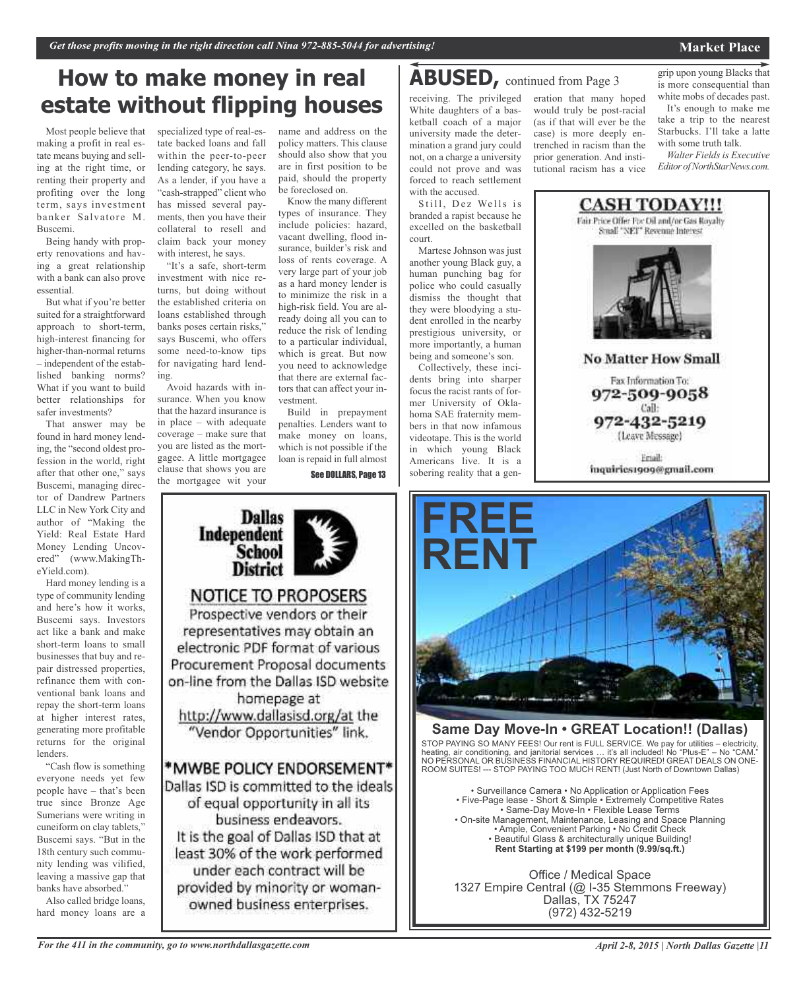## **How to make money in real ABUSED,** continued from Page <sup>3</sup> **estate without flipping houses**

Most people believe that making a profit in real estate means buying and selling at the right time, or renting their property and profiting over the long term, says investment banker Salvatore M. Buscemi.

Being handy with property renovations and having a great relationship with a bank can also prove essential.

But what if you're better suited for a straightforward approach to short-term, high-interest financing for higher-than-normal returns – independent of the established banking norms? What if you want to build better relationships for safer investments?

That answer may be found in hard money lending, the "second oldest profession in the world, right after that other one," says Buscemi, managing director of Dandrew Partners LLC in New York City and author of "Making the Yield: Real Estate Hard Money Lending Uncovered" (www.MakingTheYield.com).

Hard money lending is a type of community lending and here's how it works, Buscemi says. Investors act like a bank and make short-term loans to small businesses that buy and repair distressed properties, refinance them with conventional bank loans and repay the short-term loans at higher interest rates, generating more profitable returns for the original lenders.

"Cash flow is something everyone needs yet few people have – that's been true since Bronze Age Sumerians were writing in cuneiform on clay tablets," Buscemi says. "But in the 18th century such community lending was vilified, leaving a massive gap that banks have absorbed."

Also called bridge loans, hard money loans are a

specialized type of real-estate backed loans and fall within the peer-to-peer lending category, he says. As a lender, if you have a "cash-strapped" client who has missed several payments, then you have their collateral to resell and claim back your money with interest, he says.

"It's a safe, short-term investment with nice returns, but doing without the established criteria on loans established through banks poses certain risks," says Buscemi, who offers some need-to-know tips for navigating hard lending.

Avoid hazards with insurance. When you know that the hazard insurance is in place – with adequate coverage – make sure that you are listed as the mortgagee. A little mortgagee clause that shows you are the mortgagee wit your

**Dallas** 

**School District** 

**NOTICE TO PROPOSERS** Prospective vendors or their representatives may obtain an electronic PDF format of various Procurement Proposal documents on-line from the Dallas ISD website homepage at http://www.dallasisd.org/at the "Vendor Opportunities" link.

\*MWBE POLICY ENDORSEMENT\* Dallas ISD is committed to the ideals of equal opportunity in all its business endeavors. It is the goal of Dallas ISD that at least 30% of the work performed under each contract will be provided by minority or womanowned business enterprises.

Independent

name and address on the policy matters. This clause should also show that you are in first position to be paid, should the property be foreclosed on.

Know the many different types of insurance. They include policies: hazard, vacant dwelling, flood insurance, builder's risk and loss of rents coverage. A very large part of your job as a hard money lender is to minimize the risk in a high-risk field. You are already doing all you can to reduce the risk of lending to a particular individual, which is great. But now you need to acknowledge that there are external factors that can affect your investment.

Build in prepayment penalties. Lenders want to make money on loans, which is not possible if the loan is repaid in full almost

See DOLLARS, Page 13

eration that many hoped would truly be post-racial (as if that will ever be the case) is more deeply entrenched in racism than the prior generation. And institutional racism has a vice

receiving. The privileged White daughters of a basketball coach of a major university made the determination a grand jury could not, on a charge a university could not prove and was forced to reach settlement with the accused.

Still, Dez Wells is branded a rapist because he excelled on the basketball court.

Martese Johnson was just another young Black guy, a human punching bag for police who could casually dismiss the thought that they were bloodying a student enrolled in the nearby prestigious university, or more importantly, a human being and someone's son.

Collectively, these incidents bring into sharper focus the racist rants of former University of Oklahoma SAE fraternity members in that now infamous videotape. This is the world in which young Black Americans live. It is a sobering reality that a gen-



white mobs of decades past. It's enough to make me

take a trip to the nearest Starbucks. I'll take a latte with some truth talk. *Walter Fields is Executive*

*Editor ofNorthStarNews.com.*



Friail: inquiries1909@gmail.com



#### **Same Day Move-In • GREAT Location!! (Dallas)**

STOP PAYING SO MANY FEES! Our rent is FULL SERVICE. We pay for utilities – electricity, heating, air conditioning, and janitorial services … it's all included! No "Plus-E" – No "CAM." NO PERSONAL OR BUSINESS FINANCIAL HISTORY REQUIRED! GREAT DEALS ON ONE-ROOM SUITES! --- STOP PAYING TOO MUCH RENT! (Just North of Downtown Dallas)

• Surveillance Camera • No Application or Application Fees • Five-Page lease - Short & Simple • Extremely Competitive Rates • Same-Day Move-In • Flexible Lease Terms • On-site Management, Maintenance, Leasing and Space Planning • Ample, Convenient Parking • No Credit Check • Beautiful Glass & architecturally unique Building! **Rent Starting at \$199 per month (9.99/sq.ft.)**

Office / Medical Space 1327 Empire Central (@ I-35 Stemmons Freeway) Dallas, TX 75247 (972) 432-5219

*For the 411 in the community, go to www.northdallasgazette.com*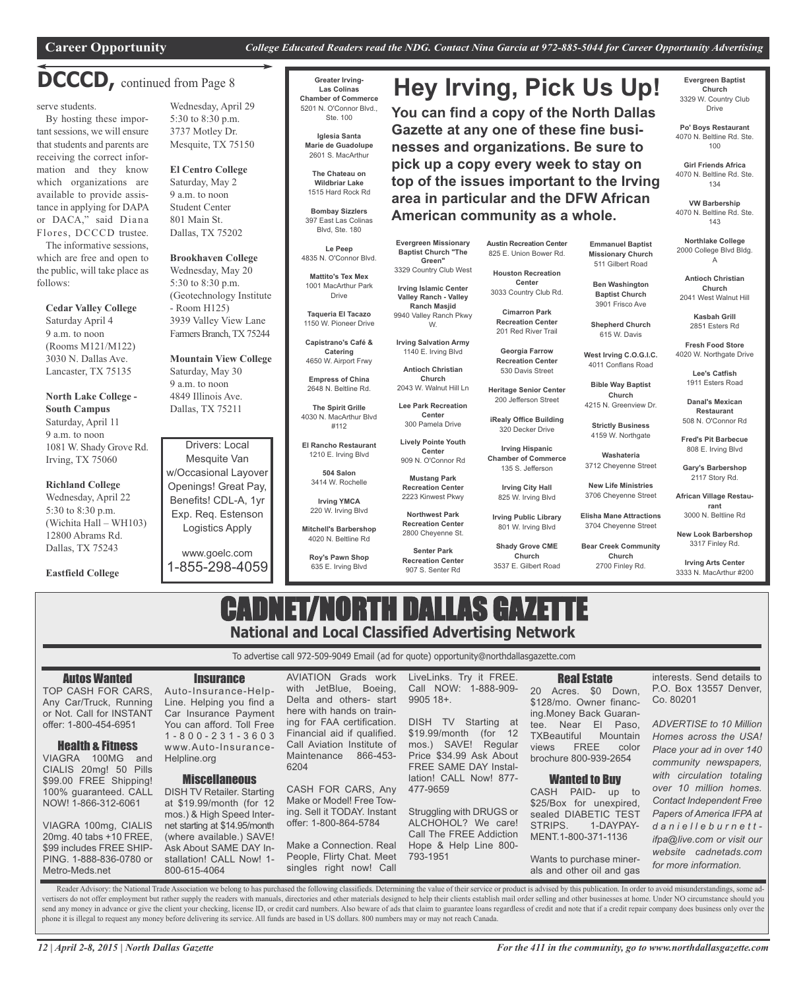**Hey Irving, Pick Us Up!**

**You can find a copy of the North Dallas Gazette at any one of these fine businesses and organizations. Be sure to pick up a copy every week to stay on top of the issues important to the Irving**

### **DCCCD,** continued from Page <sup>8</sup>

serve students.

By hosting these important sessions, we will ensure that students and parents are receiving the correct information and they know which organizations are available to provide assistance in applying for DAPA or DACA," said Diana Flores, DCCCD trustee.

The informative sessions, which are free and open to the public, will take place as follows:

**Cedar Valley College** Saturday April 4 9 a.m. to noon (Rooms M121/M122) 3030 N. Dallas Ave. Lancaster, TX 75135

**North Lake College - South Campus** Saturday, April 11

9 a.m. to noon 1081 W. Shady Grove Rd. Irving, TX 75060

#### **Richland College**

Wednesday, April 22 5:30 to 8:30 p.m. (Wichita Hall – WH103) 12800 Abrams Rd. Dallas, TX 75243

**Eastfield College**

Wednesday, April 29 5:30 to 8:30 p.m. 3737 Motley Dr. Mesquite, TX 75150

**El Centro College** Saturday, May 2 9 a.m. to noon Student Center 801 Main St. Dallas, TX 75202

**Brookhaven College** Wednesday, May 20 5:30 to 8:30 p.m. (Geotechnology Institute - Room H125) 3939 Valley View Lane Farmers Branch, TX 75244

**Mountain View College** Saturday, May 30 9 a.m. to noon 4849 Illinois Ave. Dallas, TX 75211

Drivers: Local Mesquite Van w/Occasional Layover Openings! Great Pay, Benefits! CDL-A, 1yr Exp. Req. Estenson Logistics Apply

www.goelc.com 1-855-298-4059

**Greater Irving-Las Colinas Chamber of Commerce** 5201 N. O'Connor Blvd.,

**Iglesia Santa**

**The Chateau on Wildbriar Lake**

**Bombay Sizzlers**

4835 N. O'Connor Blvd. **Mattito's Tex Mex**

**Taqueria El Tacazo**

**Capistrano's Café & Catering**

**The Spirit Grille** 4030 N. MacArthur Blvd

**El Rancho Restaurant** 1210 E. Irving Blvd

3414 W. Rochelle

220 W. Irving Blvd

4020 N. Beltline Rd

635 E. Irving Blvd

singles right now! Call

Ste. 100

**Marie de Guadolupe** 2601 S. MacArthur

1515 Hard Rock Rd

397 East Las Colinas Blvd, Ste. 180

**Le Peep**

1001 MacArthur Park Drive

1150 W. Pioneer Drive

4650 W. Airport Frwy

**Empress of China** 2648 N. Beltline Rd.

#112

**Roy's Pawn Shop**

**Austin Recreation Center** 825 E. Union Bower Rd.

**Houston Recreation Center** 3033 Country Club Rd.

**Cimarron Park**

201 Red River Trail

**Recreation Center** 530 Davis Street

200 Jefferson Street

320 Decker Drive

135 S. Jefferson

825 W. Irving Blvd

**Irving Public Library**

**Shady Grove CME Church**

**area in particular and the DFW African American community as a whole.**

> **Emmanuel Baptist Missionary Church** 511 Gilbert Road 2000 College Blvd Bldg.

**Ben Washington Baptist Church** 3901 Frisco Ave **Shepherd Church** 615 W. Davis **West Irving C.O.G.I.C.** 4011 Conflans Road **Bible Way Baptist Church** 4215 N. Greenview Dr.

**Strictly Business** 4159 W. Northgate **Washateria** 3712 Cheyenne Street **New Life Ministries** 3706 Cheyenne Street **Elisha Mane Attractions** 3704 Cheyenne Street

**Antioch Christian Church** 2041 West Walnut Hill

A

**Evergreen Baptist Church** 3329 W. Country Club Drive **Po' Boys Restaurant** 4070 N. Beltline Rd. Ste. 100 **Girl Friends Africa** 4070 N. Beltline Rd. Ste. 134 **VW Barbership** 4070 N. Beltline Rd. Ste. 143 **Northlake College**

**Kasbah Grill** 2851 Esters Rd

**Fresh Food Store** 4020 W. Northgate Drive

> **Lee's Catfish** 1911 Esters Road

**Danal's Mexican Restaurant** 508 N. O'Connor Rd

**Fred's Pit Barbecue** 808 E. Irving Blvd

**Gary's Barbershop** 2117 Story Rd.

**African Village Restaurant** 3000 N. Beltline Rd

**New Look Barbershop** 3317 Finley Rd.

**Bear Creek Community Church** 2700 Finley Rd.

**Irving Arts Center** 3333 N. MacArthur #200

*for more information.*

## CADNET/NORTH DALLAS GAZETTE **National and Local Classified Advertising Network**

To advertise call 972-509-9049 Email (ad for quote) opportunity@northdallasgazette.com

Autos Wanted TOP CASH FOR CARS, Any Car/Truck, Running or Not. Call for INSTANT offer: 1-800-454-6951 Health & Fitness VIAGRA 100MG and CIALIS 20mg! 50 Pills \$99.00 FREE Shipping! 100% guaranteed. CALL NOW! 1-866-312-6061 VIAGRA 100mg, CIALIS 20mg. 40 tabs +10 FREE, \$99 includes FREE SHIP-PING. 1-888-836-0780 or **Insurance** Auto-Insurance-Help-Line. Helping you find a Car Insurance Payment You can afford. Toll Free 1 - 8 0 0 - 2 3 1 - 3 6 0 3 www.Auto-Insurance-Helpline.org **Miscellaneous** DISH TV Retailer. Starting at \$19.99/month (for 12 mos.) & High Speed Internet starting at \$14.95/month (where available.) SAVE! Ask About SAME DAY Installation! CALL Now! 1- AVIATION Grads work with JetBlue, Boeing, Delta and others- start here with hands on training for FAA certification. Financial aid if qualified. Call Aviation Institute of Maintenance 866-453- 6204 CASH FOR CARS, Any Make or Model! Free Towing. Sell it TODAY. Instant offer: 1-800-864-5784 Make a Connection. Real People, Flirty Chat. Meet LiveLinks. Try it FREE. Call NOW: 1-888-909- 9905 18+. DISH TV Starting at \$19.99/month (for 12 mos.) SAVE! Regular Price \$34.99 Ask About FREE SAME DAY Installation! CALL Now! 877- 477-9659 Struggling with DRUGS or ALCHOHOL? We care! Call The FREE Addiction Hope & Help Line 800- 793-1951 Real Estate 20 Acres. \$0 Down, \$128/mo. Owner financing.Money Back Guarantee. Near El Paso, TXBeautiful Mountain views FREE color brochure 800-939-2654 Wanted to Buy CASH PAID- up to \$25/Box for unexpired, sealed DIABETIC TEST STRIPS. 1-DAYPAY-MENT.1-800-371-1136 Wants to purchase minerinterests. Send details to P.O. Box 13557 Denver, Co. 80201 *ADVERTISE to 10 Million Homes across the USA! Place your ad in over 140 community newspapers, with circulation totaling over 10 million homes. Contact Independent Free Papers of America IFPA at d a n i e l l e b u r n e t t ifpa@live.com or visit our website cadnetads.com*

Reader Advisory: the National Trade Association we belong to has purchased the following classifieds. Determining the value of their service or product is advised by this publication. In order to avoid misunderstandings, s vertisers do not offer employment but rather supply the readers with manuals, directories and other materials designed to help their clients establish mail order selling and other businesses at home. Under NO circumstance send any money in advance or give the client your checking, license ID, or credit card numbers. Also beware of ads that claim to guarantee loans regardless of credit and note that if a credit repair company does business o phone it is illegal to request any money before delivering its service. All funds are based in US dollars. 800 numbers may or may not reach Canada.

800-615-4064

Metro-Meds.net

als and other oil and gas

**Recreation Center** 907 S. Senter Rd

**504 Salon Irving YMCA Recreation Center**

**Mitchell's Barbershop**

3329 Country Club West **Irving Islamic Center Valley Ranch - Valley Ranch Masjid** 9940 Valley Ranch Pkwy W.

**Irving Salvation Army** 1140 E. Irving Blvd

**Antioch Christian Church** 2043 W. Walnut Hill Ln

**Evergreen Missionary Baptist Church "The Green"**

**Lee Park Recreation Center** 300 Pamela Drive

**Lively Pointe Youth Center**

909 N. O'Connor Rd **Mustang Park**

2223 Kinwest Pkwy

**Recreation Center**

**Georgia Farrow**

**Heritage Senior Center**

**iRealy Office Building**

**Irving Hispanic Chamber of Commerce**

**Irving City Hall**

3537 E. Gilbert Road

**Northwest Park Recreation Center** 2800 Cheyenne St. **Senter Park** 801 W. Irving Blvd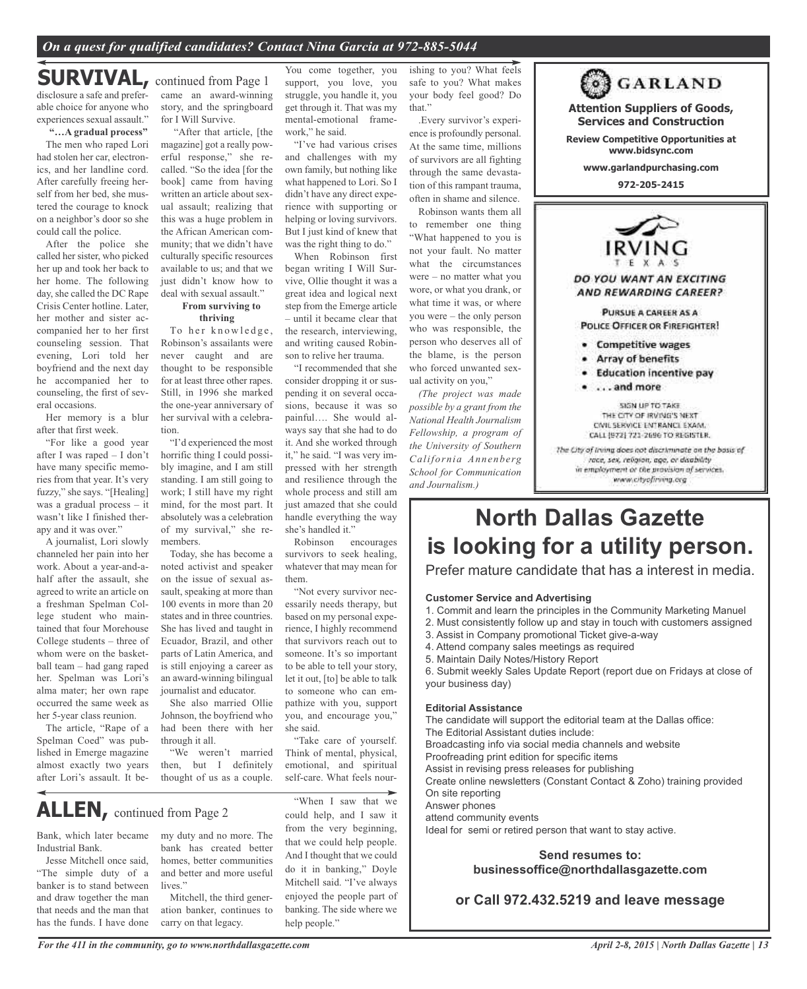#### *On a quest for qualified candidates? Contact Nina Garcia at 972-885-5044*

## **SURVIVAL,** continued from Page <sup>1</sup>

disclosure a safe and preferable choice for anyone who experiences sexual assault."

#### **"…A gradual process"**

The men who raped Lori had stolen her car, electronics, and her landline cord. After carefully freeing herself from her bed, she mustered the courage to knock on a neighbor's door so she could call the police.

After the police she called her sister, who picked her up and took her back to her home. The following day, she called the DC Rape Crisis Center hotline. Later, her mother and sister accompanied her to her first counseling session. That evening, Lori told her boyfriend and the next day he accompanied her to counseling, the first of several occasions.

Her memory is a blur after that first week.

"For like a good year after I was raped – I don't have many specific memories from that year. It's very fuzzy," she says. "[Healing] was a gradual process – it wasn't like I finished therapy and it was over."

A journalist, Lori slowly channeled her pain into her work. About a year-and-ahalf after the assault, she agreed to write an article on a freshman Spelman College student who maintained that four Morehouse College students – three of whom were on the basketball team – had gang raped her. Spelman was Lori's alma mater; her own rape occurred the same week as her 5-year class reunion.

The article, "Rape of a Spelman Coed" was published in Emerge magazine almost exactly two years after Lori's assault. It became an award-winning story, and the springboard for I Will Survive.

"After that article, [the magazine] got a really powerful response," she recalled. "So the idea [for the book] came from having written an article about sexual assault; realizing that this was a huge problem in the African American community; that we didn't have culturally specific resources available to us; and that we just didn't know how to deal with sexual assault."

#### **From surviving to thriving**

To her knowledge, Robinson's assailants were never caught and are thought to be responsible for at least three other rapes. Still, in 1996 she marked the one-year anniversary of her survival with a celebration.

"I'd experienced the most horrific thing I could possibly imagine, and I am still standing. I am still going to work; I still have my right mind, for the most part. It absolutely was a celebration of my survival," she remembers.

Today, she has become a noted activist and speaker on the issue of sexual assault, speaking at more than 100 events in more than 20 states and in three countries. She has lived and taught in Ecuador, Brazil, and other parts of Latin America, and is still enjoying a career as an award-winning bilingual journalist and educator.

She also married Ollie Johnson, the boyfriend who had been there with her through it all.

"We weren't married then, but I definitely thought of us as a couple.

## **ALLEN,** continued from Page <sup>2</sup>

Bank, which later became Industrial Bank.

Jesse Mitchell once said, "The simple duty of a banker is to stand between and draw together the man that needs and the man that has the funds. I have done

my duty and no more. The bank has created better homes, better communities and better and more useful lives."

Mitchell, the third generation banker, continues to carry on that legacy.

You come together, you support, you love, you struggle, you handle it, you get through it. That was my mental-emotional framework," he said.

"I've had various crises and challenges with my own family, but nothing like what happened to Lori. So I didn't have any direct experience with supporting or helping or loving survivors. But I just kind of knew that was the right thing to do."

When Robinson first began writing I Will Survive, Ollie thought it was a great idea and logical next step from the Emerge article – until it became clear that the research, interviewing, and writing caused Robinson to relive her trauma.

"I recommended that she consider dropping it or suspending it on several occasions, because it was so painful…. She would always say that she had to do it. And she worked through it," he said. "I was very impressed with her strength and resilience through the whole process and still am just amazed that she could handle everything the way she's handled it."

Robinson encourages survivors to seek healing, whatever that may mean for them.

"Not every survivor necessarily needs therapy, but based on my personal experience, I highly recommend that survivors reach out to someone. It's so important to be able to tell your story, let it out, [to] be able to talk to someone who can empathize with you, support you, and encourage you," she said.

"Take care of yourself. Think of mental, physical, emotional, and spiritual self-care. What feels nour-

"When I saw that we could help, and I saw it from the very beginning, that we could help people. And I thought that we could do it in banking," Doyle Mitchell said. "I've always enjoyed the people part of banking. The side where we help people."

ishing to you? What feels safe to you? What makes your body feel good? Do that."

.Every survivor's experience is profoundly personal. At the same time, millions of survivors are all fighting through the same devastation of this rampant trauma, often in shame and silence.

Robinson wants them all to remember one thing "What happened to you is not your fault. No matter what the circumstances were – no matter what you wore, or what you drank, or what time it was, or where you were – the only person who was responsible, the person who deserves all of the blame, is the person who forced unwanted sexual activity on you,"

*(The project was made possible by a grant from the National Health Journalism Fellowship, a program of the University of Southern California Annenberg School for Communication and Journalism.)*



CIVIL SERVICE ENTRANCE EXAM. CALL (972) 721-2696 TO REGISTER. The City of Irving does not discriminate on the basis of race, sex, religion, age, or disability in employment or the provision of services. www.cityofirving.org

## **North Dallas Gazette is looking for a utility person.**

Prefer mature candidate that has a interest in media.

#### **Customer Service and Advertising**

- 1. Commit and learn the principles in the Community Marketing Manuel
- 2. Must consistently follow up and stay in touch with customers assigned
- 3. Assist in Company promotional Ticket give-a-way
- 4. Attend company sales meetings as required
- 5. Maintain Daily Notes/History Report

6. Submit weekly Sales Update Report (report due on Fridays at close of your business day)

#### **Editorial Assistance**

The candidate will support the editorial team at the Dallas office: The Editorial Assistant duties include: Broadcasting info via social media channels and website Proofreading print edition for specific items Assist in revising press releases for publishing Create online newsletters (Constant Contact & Zoho) training provided On site reporting Answer phones attend community events Ideal for semi or retired person that want to stay active.

#### **Send resumes to: businessoffice@northdallasgazette.com**

**or Call 972.432.5219 and leave message**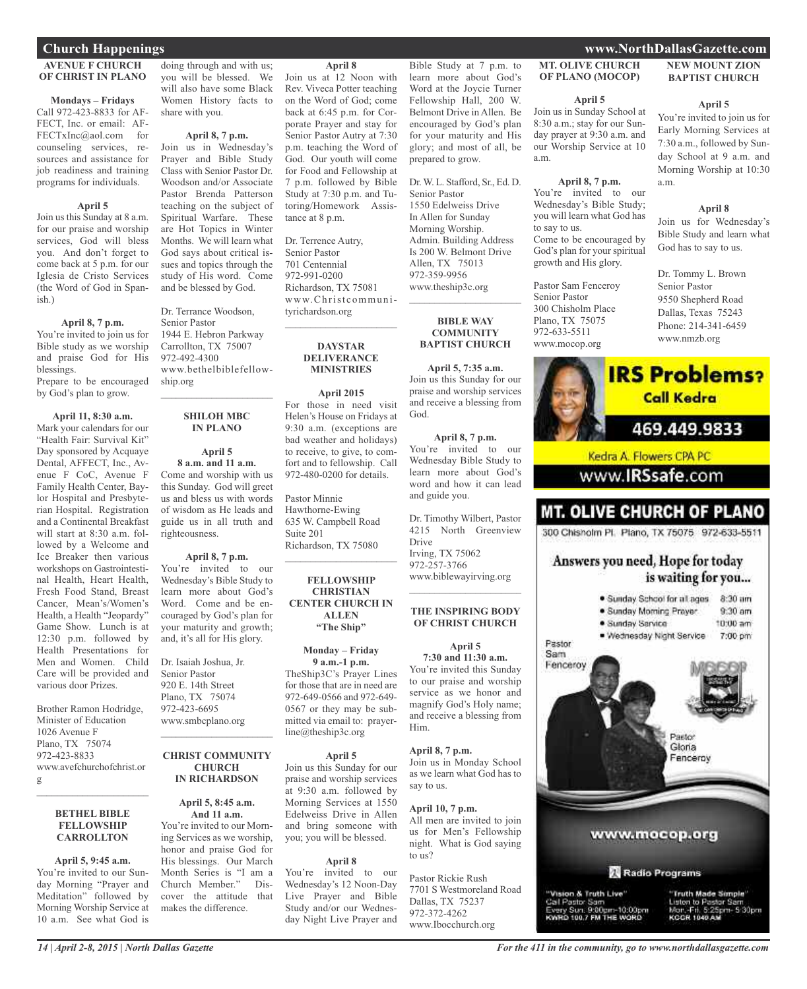#### **Church Happenings www.NorthDallasGazette.com**

#### **AVENUE F CHURCH OF CHRIST IN PLANO**

#### **Mondays – Fridays**

Call 972-423-8833 for AF-FECT, Inc. or email: AF-FECTxInc@aol.com for counseling services, resources and assistance for job readiness and training programs for individuals.

#### **April 5**

Join us this Sunday at 8 a.m. for our praise and worship services, God will bless you. And don't forget to come back at 5 p.m. for our Iglesia de Cristo Services (the Word of God in Spanish.)

#### **April 8, 7 p.m.**

You're invited to join us for Bible study as we worship and praise God for His blessings.

Prepare to be encouraged by God's plan to grow.

**April 11, 8:30 a.m.** Mark your calendars for our "Health Fair: Survival Kit" Day sponsored by Acquaye Dental, AFFECT, Inc., Avenue F CoC, Avenue F Family Health Center, Baylor Hospital and Presbyterian Hospital. Registration and a Continental Breakfast will start at 8:30 a.m. followed by a Welcome and Ice Breaker then various workshops on Gastrointestinal Health, Heart Health, Fresh Food Stand, Breast Cancer, Mean's/Women's Health, a Health "Jeopardy" Game Show. Lunch is at 12:30 p.m. followed by Health Presentations for Men and Women. Child Care will be provided and various door Prizes.

Brother Ramon Hodridge, Minister of Education 1026 Avenue F Plano, TX 75074 972-423-8833 www.avefchurchofchrist.or g

#### **BETHEL BIBLE FELLOWSHIP CARROLLTON**

 $\mathcal{L}$  , and the set of the set of the set of the set of the set of the set of the set of the set of the set of the set of the set of the set of the set of the set of the set of the set of the set of the set of the set

**April 5, 9:45 a.m.** You're invited to our Sunday Morning "Prayer and Meditation" followed by Morning Worship Service at 10 a.m. See what God is

doing through and with us; you will be blessed. We will also have some Black Women History facts to share with you.

#### **April 8, 7 p.m.**

Join us in Wednesday's Prayer and Bible Study Class with Senior Pastor Dr. Woodson and/or Associate Pastor Brenda Patterson teaching on the subject of Spiritual Warfare. These are Hot Topics in Winter Months. We will learn what God says about critical issues and topics through the study of His word. Come and be blessed by God.

Dr. Terrance Woodson, Senior Pastor 1944 E. Hebron Parkway Carrollton, TX 75007 972-492-4300 www.bethelbiblefellowship.org

#### **SHILOH MBC IN PLANO**

 $\mathcal{L}_\text{max}$  , which is a set of the set of the set of the set of the set of the set of the set of the set of the set of the set of the set of the set of the set of the set of the set of the set of the set of the set of

**April 5 8 a.m. and 11 a.m.** Come and worship with us this Sunday. God will greet us and bless us with words of wisdom as He leads and guide us in all truth and righteousness.

#### **April 8, 7 p.m.**

You're invited to our Wednesday's Bible Study to learn more about God's Word. Come and be encouraged by God's plan for your maturity and growth; and, it's all for His glory.

Dr. Isaiah Joshua, Jr. Senior Pastor 920 E. 14th Street Plano, TX 75074 972-423-6695 www.smbcplano.org

#### **CHRIST COMMUNITY CHURCH IN RICHARDSON**

 $\mathcal{L}_\text{max}$  , which is a set of the set of the set of the set of the set of the set of the set of the set of the set of the set of the set of the set of the set of the set of the set of the set of the set of the set of

**April 5, 8:45 a.m. And 11 a.m.**

You're invited to our Morning Services as we worship, honor and praise God for His blessings. Our March Month Series is "I am a Church Member." Discover the attitude that makes the difference.

#### **April 8**

Join us at 12 Noon with Rev. Viveca Potter teaching on the Word of God; come back at 6:45 p.m. for Corporate Prayer and stay for Senior Pastor Autry at 7:30 p.m. teaching the Word of God. Our youth will come for Food and Fellowship at 7 p.m. followed by Bible Study at 7:30 p.m. and Tutoring/Homework Assistance at 8 p.m.

Dr. Terrence Autry, Senior Pastor 701 Centennial 972-991-0200 Richardson, TX 75081 www.Christcommunityrichardson.org

#### **DAYSTAR DELIVERANCE MINISTRIES**

 $\overline{\phantom{a}}$  , and the set of the set of the set of the set of the set of the set of the set of the set of the set of the set of the set of the set of the set of the set of the set of the set of the set of the set of the s

**April 2015**

For those in need visit Helen's House on Fridays at 9:30 a.m. (exceptions are bad weather and holidays) to receive, to give, to comfort and to fellowship. Call 972-480-0200 for details.

Pastor Minnie Hawthorne-Ewing 635 W. Campbell Road Suite 201 Richardson, TX 75080

#### **FELLOWSHIP CHRISTIAN CENTER CHURCH IN ALLEN "The Ship"**

 $\overline{\phantom{a}}$  , and the set of the set of the set of the set of the set of the set of the set of the set of the set of the set of the set of the set of the set of the set of the set of the set of the set of the set of the s

#### **Monday – Friday**

**9 a.m.-1 p.m.** TheShip3C's Prayer Lines for those that are in need are 972-649-0566 and 972-649- 0567 or they may be submitted via email to: prayerline@theship3c.org

#### **April 5**

Join us this Sunday for our praise and worship services at 9:30 a.m. followed by Morning Services at 1550 Edelweiss Drive in Allen and bring someone with you; you will be blessed.

#### **April 8**

You're invited to our Wednesday's 12 Noon-Day Live Prayer and Bible Study and/or our Wednesday Night Live Prayer and

Bible Study at 7 p.m. to learn more about God's Word at the Joycie Turner Fellowship Hall, 200 W. Belmont Drive in Allen. Be encouraged by God's plan for your maturity and His glory; and most of all, be prepared to grow.

Dr.W. L. Stafford, Sr., Ed. D. Senior Pastor 1550 Edelweiss Drive In Allen for Sunday Morning Worship. Admin. Building Address Is 200 W. Belmont Drive Allen, TX 75013 972-359-9956 www.theship3c.org

#### **BIBLE WAY COMMUNITY BAPTIST CHURCH**

 $\mathcal{L}$  , and the set of the set of the set of the set of the set of the set of the set of the set of the set of the set of the set of the set of the set of the set of the set of the set of the set of the set of the set

**April 5, 7:35 a.m.** Join us this Sunday for our praise and worship services and receive a blessing from God.

**April 8, 7 p.m.** You're invited to our Wednesday Bible Study to learn more about God's word and how it can lead and guide you.

Dr. Timothy Wilbert, Pastor 4215 North Greenview Drive Irving, TX 75062 972-257-3766 www.biblewayirving.org

 $\mathcal{L}$  , and the set of the set of the set of the set of the set of the set of the set of the set of the set of the set of the set of the set of the set of the set of the set of the set of the set of the set of the set

#### **THE INSPIRING BODY OF CHRIST CHURCH April 5**

**7:30 and 11:30 a.m.** You're invited this Sunday to our praise and worship service as we honor and magnify God's Holy name; and receive a blessing from Him.

#### **April 8, 7 p.m.** Join us in Monday School

as we learn what God has to say to us.

**April 10, 7 p.m.** All men are invited to join us for Men's Fellowship night. What is God saying to us?

Pastor Rickie Rush 7701 S Westmoreland Road Dallas, TX 75237 972-372-4262 www.Ibocchurch.org

#### **MT. OLIVE CHURCH OF PLANO (MOCOP)**

#### **April 5**

Join us in Sunday School at 8:30 a.m.; stay for our Sunday prayer at 9:30 a.m. and our Worship Service at 10 a.m.

#### **April 8, 7 p.m.**

You're invited to our Wednesday's Bible Study; you will learn what God has to say to us. Come to be encouraged by God's plan for your spiritual growth and His glory.

Pastor Sam Fenceroy Senior Pastor 300 Chisholm Place Plano, TX 75075 972-633-5511 www.mocop.org

#### **NEW MOUNT ZION BAPTIST CHURCH**

#### **April 5**

You're invited to join us for Early Morning Services at 7:30 a.m., followed by Sunday School at 9 a.m. and Morning Worship at 10:30 a.m.

#### **April 8**

Join us for Wednesday's Bible Study and learn what God has to say to us.

Dr. Tommy L. Brown Senior Pastor 9550 Shepherd Road Dallas, Texas 75243 Phone: 214-341-6459 www.nmzb.org



## **MT. OLIVE CHURCH OF PLANO**

300 Chisholm Pl. Plano, TX 75075 972-633-5511

#### Answers you need, Hope for today is waiting for you...

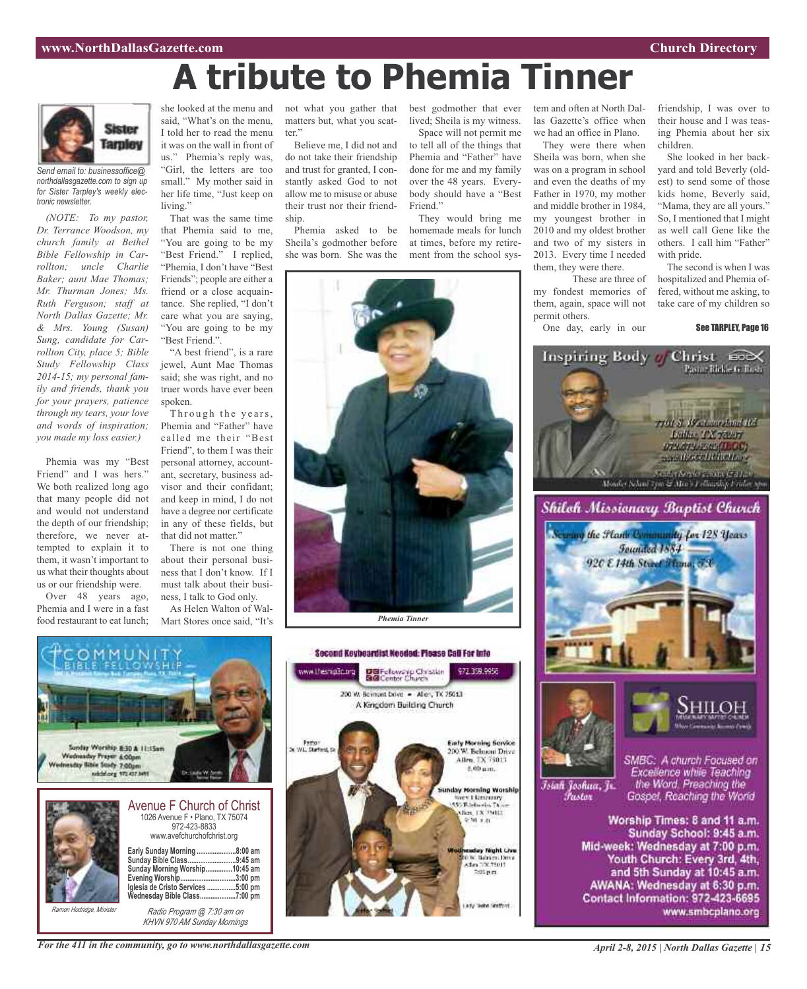friendship, I was over to their house and I was teasing Phemia about her six

She looked in her backyard and told Beverly (oldest) to send some of those kids home, Beverly said, "Mama, they are all yours." So, I mentioned that I might as well call Gene like the others. I call him "Father"

The second is when I was hospitalized and Phemia offered, without me asking, to take care of my children so

Christ Cox

761 S. W. Amerikan 165 Luther TX recor **UPLATA-ESSALLOCI** manuface in the first

North California (Service California)<br>Monder School Tym & Mor's collaighty Erailor Sp

Shiloh Missionary Baptist Church

Founded 1884 920 E 14th Street France, 73

the Plant Community for 128 Years

See TARPLEY, Page 16

children.

with pride.

## **A tribute to Phemia Tinner**



*Send email to: businessoffice@ northdallasgazette.com to sign up for Sister Tarpley's weekly electronic newsletter.*

*(NOTE: To my pastor, Dr. Terrance Woodson, my church family at Bethel Bible Fellowship in Carrollton; uncle Charlie Baker; aunt Mae Thomas; Mr. Thurman Jones; Ms. Ruth Ferguson; staff at North Dallas Gazette; Mr. & Mrs. Young (Susan) Sung, candidate for Carrollton City, place 5; Bible Study Fellowship Class 2014-15; my personal family and friends, thank you for your prayers, patience through my tears, your love and words of inspiration; you made my loss easier.)*

Phemia was my "Best Friend" and I was hers." We both realized long ago that many people did not and would not understand the depth of our friendship; therefore, we never attempted to explain it to them, it wasn't important to us what their thoughts about us or our friendship were.

Over 48 years ago, Phemia and I were in a fast food restaurant to eat lunch;

she looked at the menu and not what you gather that best godmother that ever tem and often at North Dalsaid, "What's on the menu, I told her to read the menu it was on the wall in front of us." Phemia's reply was, "Girl, the letters are too small." My mother said in her life time, "Just keep on living."

That was the same time that Phemia said to me, "You are going to be my "Best Friend." I replied, "Phemia, I don't have "Best Friends"; people are either a friend or a close acquaintance. She replied, "I don't care what you are saying, "You are going to be my "Best Friend.".

"A best friend", is a rare jewel, Aunt Mae Thomas said; she was right, and no truer words have ever been spoken.

Through the years, Phemia and "Father" have called me their "Best Friend", to them I was their personal attorney, accountant, secretary, business advisor and their confidant; and keep in mind, I do not have a degree nor certificate in any of these fields, but that did not matter."

There is not one thing about their personal business that I don't know. If I must talk about their business, I talk to God only.

As Helen Walton of Wal-Mart Stores once said, "It's matters but, what you scatter.'

Believe me, I did not and do not take their friendship and trust for granted, I constantly asked God to not allow me to misuse or abuse their trust nor their friendship.

Phemia asked to be Sheila's godmother before she was born. She was the lived; Sheila is my witness. Space will not permit me

las Gazette's office when we had an office in Plano. They were there when Sheila was born, when she was on a program in school and even the deaths of my Father in 1970, my mother and middle brother in 1984, my youngest brother in 2010 and my oldest brother and two of my sisters in 2013. Every time I needed them, they were there.

These are three of

my fondest memories of them, again, space will not

One day, early in our

Inspiring Body of

permit others.

to tell all of the things that Phemia and "Father" have done for me and my family over the 48 years. Everybody should have a "Best Friend."

They would bring me homemade meals for lunch at times, before my retirement from the school sys-





*Ramon Hodridge, Minister*

*Radio Program @ 7:30 am on KHVN 970 AM Sunday Mornings*

*For the 411 in the community, go to www.northdallasgazette.com*

Islah Joshua, Jr. *Pustar* 

SMBC: A church Focused on Excellence while Teaching<br>the Word, Preaching the Gospel, Reaching the World

Worship Times: 8 and 11 a.m. Sunday School: 9:45 a.m. Mid-week: Wednesday at 7:00 p.m. Youth Church: Every 3rd, 4th, and 5th Sunday at 10:45 a.m. AWANA: Wednesday at 6:30 p.m. Contact Information: 972-423-6695 www.smbcplano.org



200 W. Bernont Drive - Allen, TX 75013 A Kingdom Building Church

Pastor<br>W.L. Starford, S

**Early Morning Service** 

200 W. Behueni Drive

Allen, TX 75013.

8.00 um.

unday Morning Worship<br>Sure Licenseary<br>SSS Elefucios Diaco<br>Silon, LX 20011

 $970.88$ 

day Night Live

036. Bahim Ditsi<br>Alm DX 75013

7:05 p.m.